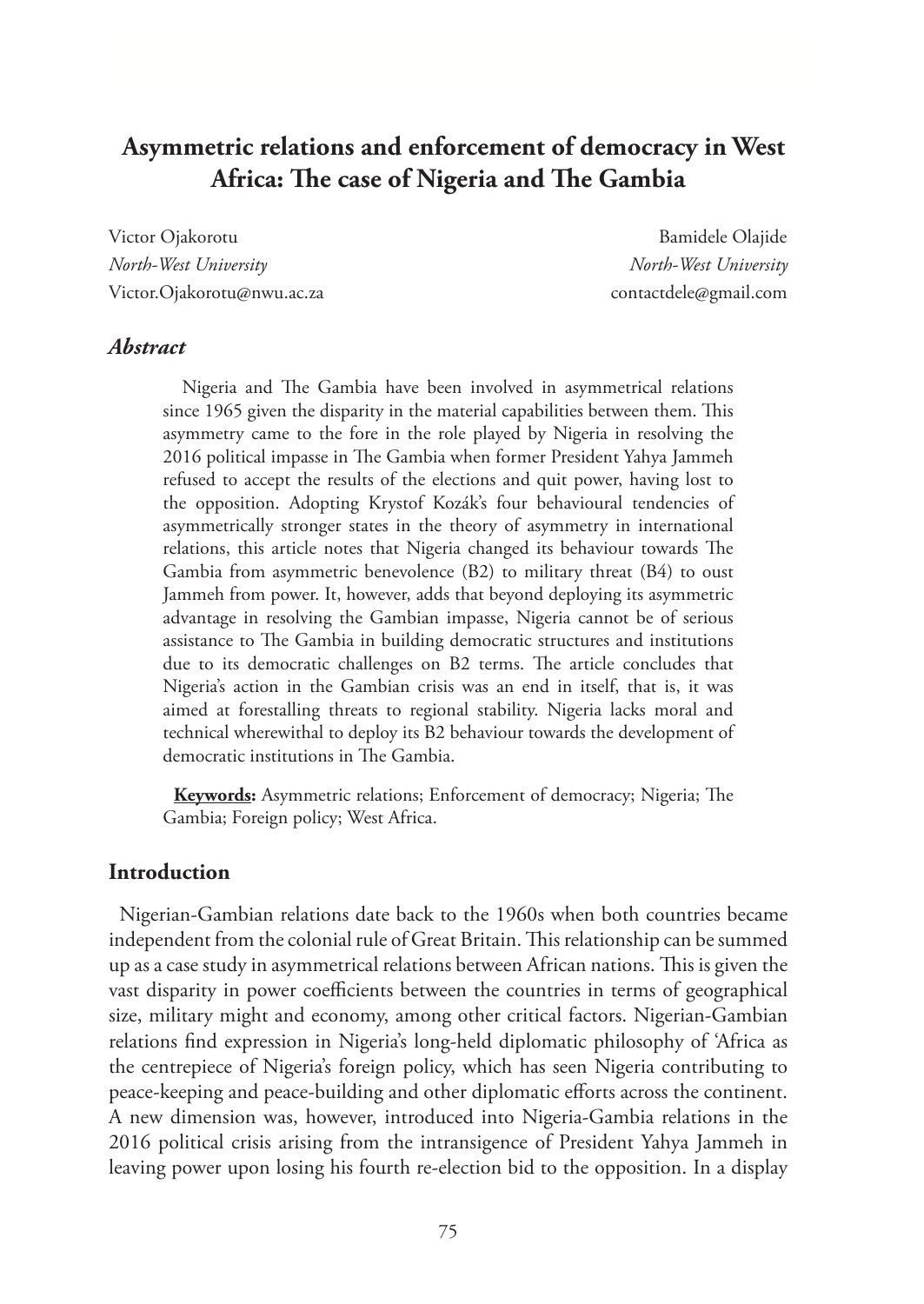# **Asymmetric relations and enforcement of democracy in West Africa: The case of Nigeria and The Gambia**

Victor Ojakorotu **Bamidele Olajide** *North-West University North-West University* Victor.Ojakorotu@nwu.ac.za contactdele@gmail.com

#### *Abstract*

 Nigeria and The Gambia have been involved in asymmetrical relations since 1965 given the disparity in the material capabilities between them. This asymmetry came to the fore in the role played by Nigeria in resolving the 2016 political impasse in The Gambia when former President Yahya Jammeh refused to accept the results of the elections and quit power, having lost to the opposition. Adopting Krystof Kozák's four behavioural tendencies of asymmetrically stronger states in the theory of asymmetry in international relations, this article notes that Nigeria changed its behaviour towards The Gambia from asymmetric benevolence (B2) to military threat (B4) to oust Jammeh from power. It, however, adds that beyond deploying its asymmetric advantage in resolving the Gambian impasse, Nigeria cannot be of serious assistance to The Gambia in building democratic structures and institutions due to its democratic challenges on B2 terms. The article concludes that Nigeria's action in the Gambian crisis was an end in itself, that is, it was aimed at forestalling threats to regional stability. Nigeria lacks moral and technical wherewithal to deploy its B2 behaviour towards the development of democratic institutions in The Gambia.

**Keywords:** Asymmetric relations; Enforcement of democracy; Nigeria; The Gambia; Foreign policy; West Africa.

#### **Introduction**

Nigerian-Gambian relations date back to the 1960s when both countries became independent from the colonial rule of Great Britain. This relationship can be summed up as a case study in asymmetrical relations between African nations. This is given the vast disparity in power coefficients between the countries in terms of geographical size, military might and economy, among other critical factors. Nigerian-Gambian relations find expression in Nigeria's long-held diplomatic philosophy of 'Africa as the centrepiece of Nigeria's foreign policy, which has seen Nigeria contributing to peace-keeping and peace-building and other diplomatic efforts across the continent. A new dimension was, however, introduced into Nigeria-Gambia relations in the 2016 political crisis arising from the intransigence of President Yahya Jammeh in leaving power upon losing his fourth re-election bid to the opposition. In a display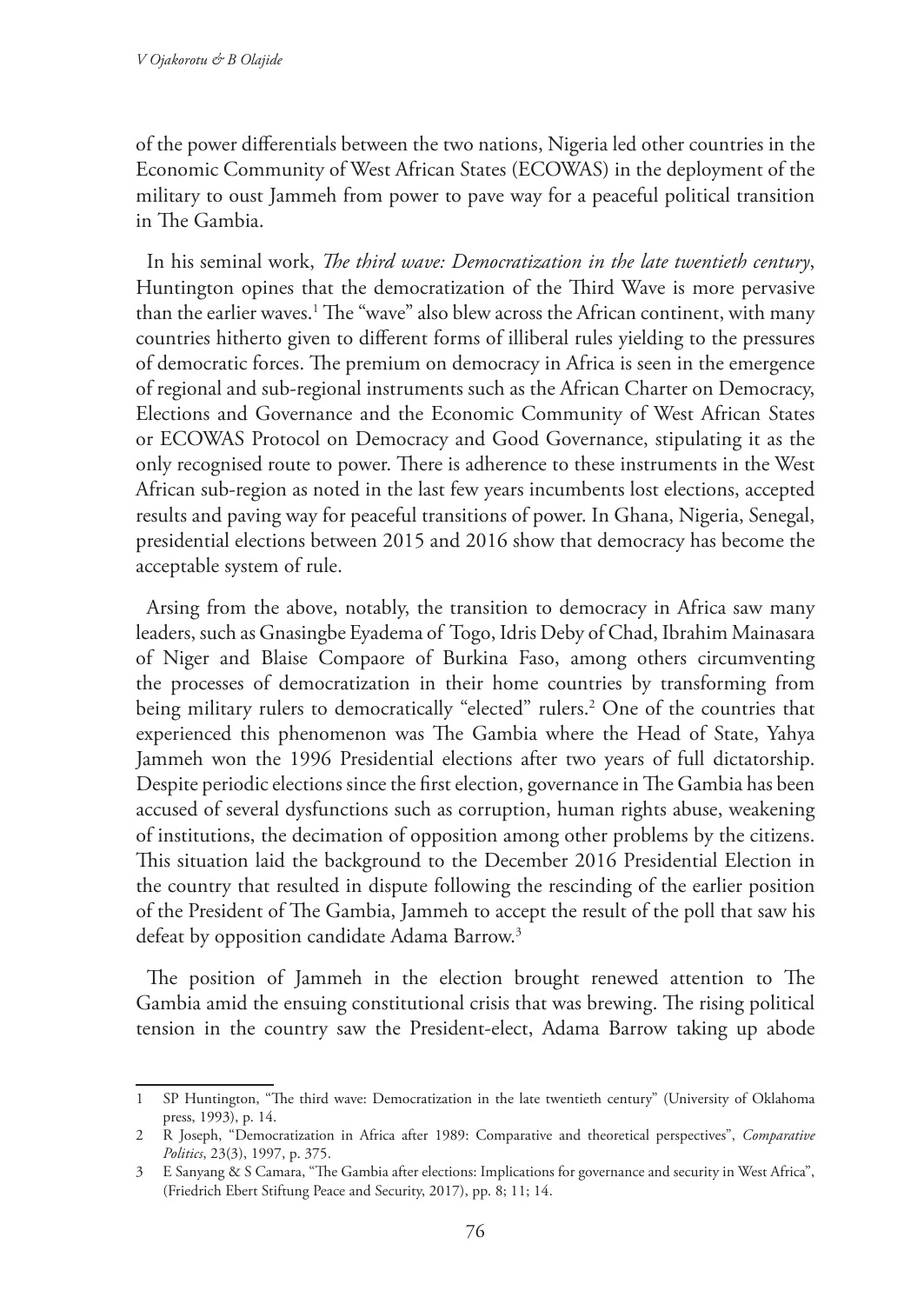of the power differentials between the two nations, Nigeria led other countries in the Economic Community of West African States (ECOWAS) in the deployment of the military to oust Jammeh from power to pave way for a peaceful political transition in The Gambia.

In his seminal work, *The third wave: Democratization in the late twentieth century*, Huntington opines that the democratization of the Third Wave is more pervasive than the earlier waves.1 The "wave" also blew across the African continent, with many countries hitherto given to different forms of illiberal rules yielding to the pressures of democratic forces. The premium on democracy in Africa is seen in the emergence of regional and sub-regional instruments such as the African Charter on Democracy, Elections and Governance and the Economic Community of West African States or ECOWAS Protocol on Democracy and Good Governance, stipulating it as the only recognised route to power. There is adherence to these instruments in the West African sub-region as noted in the last few years incumbents lost elections, accepted results and paving way for peaceful transitions of power. In Ghana, Nigeria, Senegal, presidential elections between 2015 and 2016 show that democracy has become the acceptable system of rule.

Arsing from the above, notably, the transition to democracy in Africa saw many leaders, such as Gnasingbe Eyadema of Togo, Idris Deby of Chad, Ibrahim Mainasara of Niger and Blaise Compaore of Burkina Faso, among others circumventing the processes of democratization in their home countries by transforming from being military rulers to democratically "elected" rulers.2 One of the countries that experienced this phenomenon was The Gambia where the Head of State, Yahya Jammeh won the 1996 Presidential elections after two years of full dictatorship. Despite periodic elections since the first election, governance in The Gambia has been accused of several dysfunctions such as corruption, human rights abuse, weakening of institutions, the decimation of opposition among other problems by the citizens. This situation laid the background to the December 2016 Presidential Election in the country that resulted in dispute following the rescinding of the earlier position of the President of The Gambia, Jammeh to accept the result of the poll that saw his defeat by opposition candidate Adama Barrow.<sup>3</sup>

The position of Jammeh in the election brought renewed attention to The Gambia amid the ensuing constitutional crisis that was brewing. The rising political tension in the country saw the President-elect, Adama Barrow taking up abode

<sup>1</sup> SP Huntington, "The third wave: Democratization in the late twentieth century" (University of Oklahoma press, 1993), p. 14.

<sup>2</sup> R Joseph, "Democratization in Africa after 1989: Comparative and theoretical perspectives", *Comparative Politics*, 23(3), 1997, p. 375.

<sup>3</sup> E Sanyang & S Camara, "The Gambia after elections: Implications for governance and security in West Africa", (Friedrich Ebert Stiftung Peace and Security, 2017), pp. 8; 11; 14.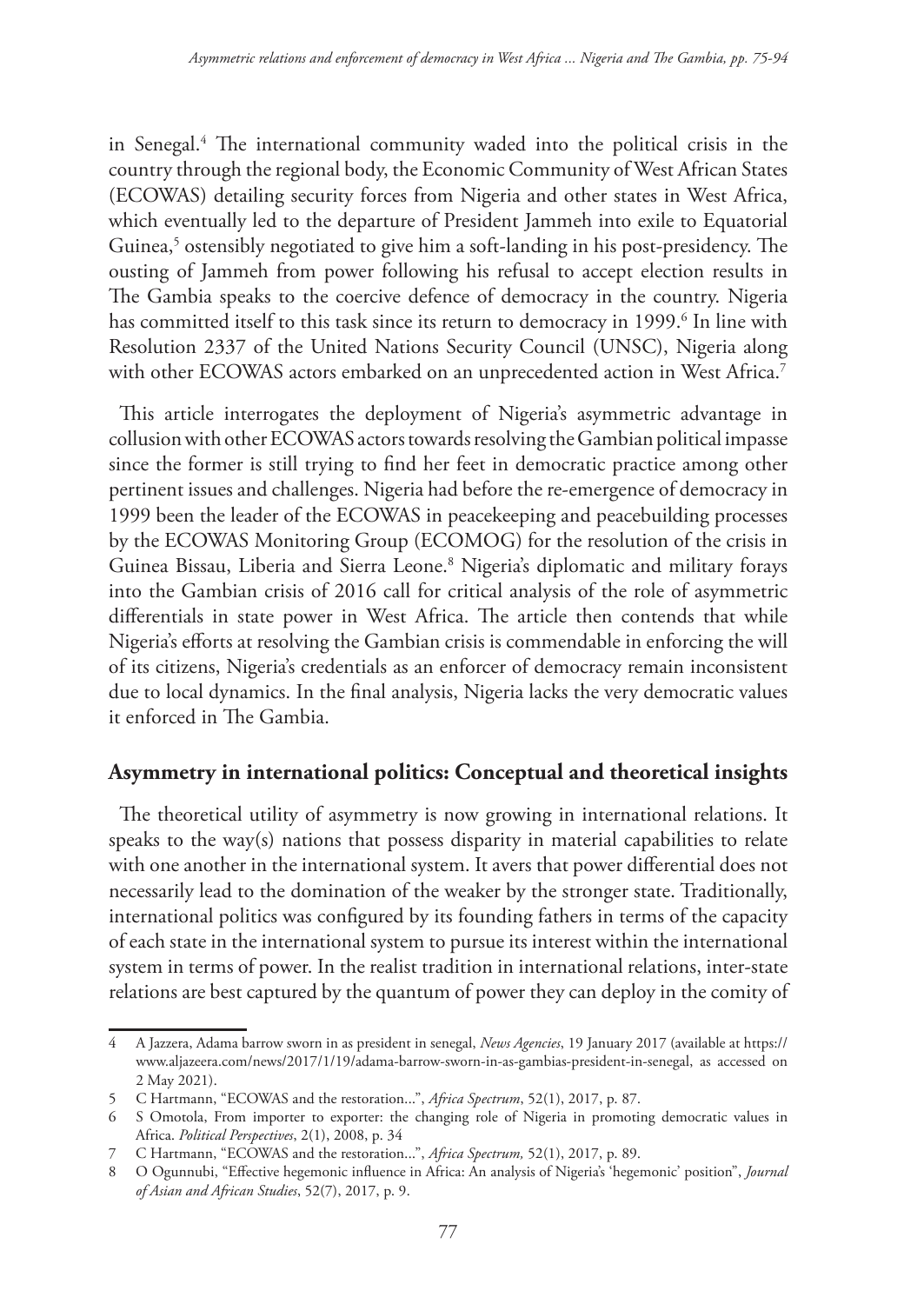in Senegal.4 The international community waded into the political crisis in the country through the regional body, the Economic Community of West African States (ECOWAS) detailing security forces from Nigeria and other states in West Africa, which eventually led to the departure of President Jammeh into exile to Equatorial Guinea,<sup>5</sup> ostensibly negotiated to give him a soft-landing in his post-presidency. The ousting of Jammeh from power following his refusal to accept election results in The Gambia speaks to the coercive defence of democracy in the country. Nigeria has committed itself to this task since its return to democracy in 1999.<sup>6</sup> In line with Resolution 2337 of the United Nations Security Council (UNSC), Nigeria along with other ECOWAS actors embarked on an unprecedented action in West Africa.<sup>7</sup>

This article interrogates the deployment of Nigeria's asymmetric advantage in collusion with other ECOWAS actors towards resolving the Gambian political impasse since the former is still trying to find her feet in democratic practice among other pertinent issues and challenges. Nigeria had before the re-emergence of democracy in 1999 been the leader of the ECOWAS in peacekeeping and peacebuilding processes by the ECOWAS Monitoring Group (ECOMOG) for the resolution of the crisis in Guinea Bissau, Liberia and Sierra Leone.8 Nigeria's diplomatic and military forays into the Gambian crisis of 2016 call for critical analysis of the role of asymmetric differentials in state power in West Africa. The article then contends that while Nigeria's efforts at resolving the Gambian crisis is commendable in enforcing the will of its citizens, Nigeria's credentials as an enforcer of democracy remain inconsistent due to local dynamics. In the final analysis, Nigeria lacks the very democratic values it enforced in The Gambia.

## **Asymmetry in international politics: Conceptual and theoretical insights**

The theoretical utility of asymmetry is now growing in international relations. It speaks to the way(s) nations that possess disparity in material capabilities to relate with one another in the international system. It avers that power differential does not necessarily lead to the domination of the weaker by the stronger state. Traditionally, international politics was configured by its founding fathers in terms of the capacity of each state in the international system to pursue its interest within the international system in terms of power. In the realist tradition in international relations, inter-state relations are best captured by the quantum of power they can deploy in the comity of

<sup>4</sup> A Jazzera, Adama barrow sworn in as president in senegal, *News Agencies*, 19 January 2017 (available at https:// www.aljazeera.com/news/2017/1/19/adama-barrow-sworn-in-as-gambias-president-in-senegal, as accessed on 2 May 2021).

<sup>5</sup> C Hartmann, "ECOWAS and the restoration...", *Africa Spectrum*, 52(1), 2017, p. 87.

<sup>6</sup> S Omotola, From importer to exporter: the changing role of Nigeria in promoting democratic values in Africa. *Political Perspectives*, 2(1), 2008, p. 34

<sup>7</sup> C Hartmann, "ECOWAS and the restoration...", *Africa Spectrum,* 52(1), 2017, p. 89.

<sup>8</sup> O Ogunnubi, "Effective hegemonic influence in Africa: An analysis of Nigeria's 'hegemonic' position", *Journal of Asian and African Studies*, 52(7), 2017, p. 9.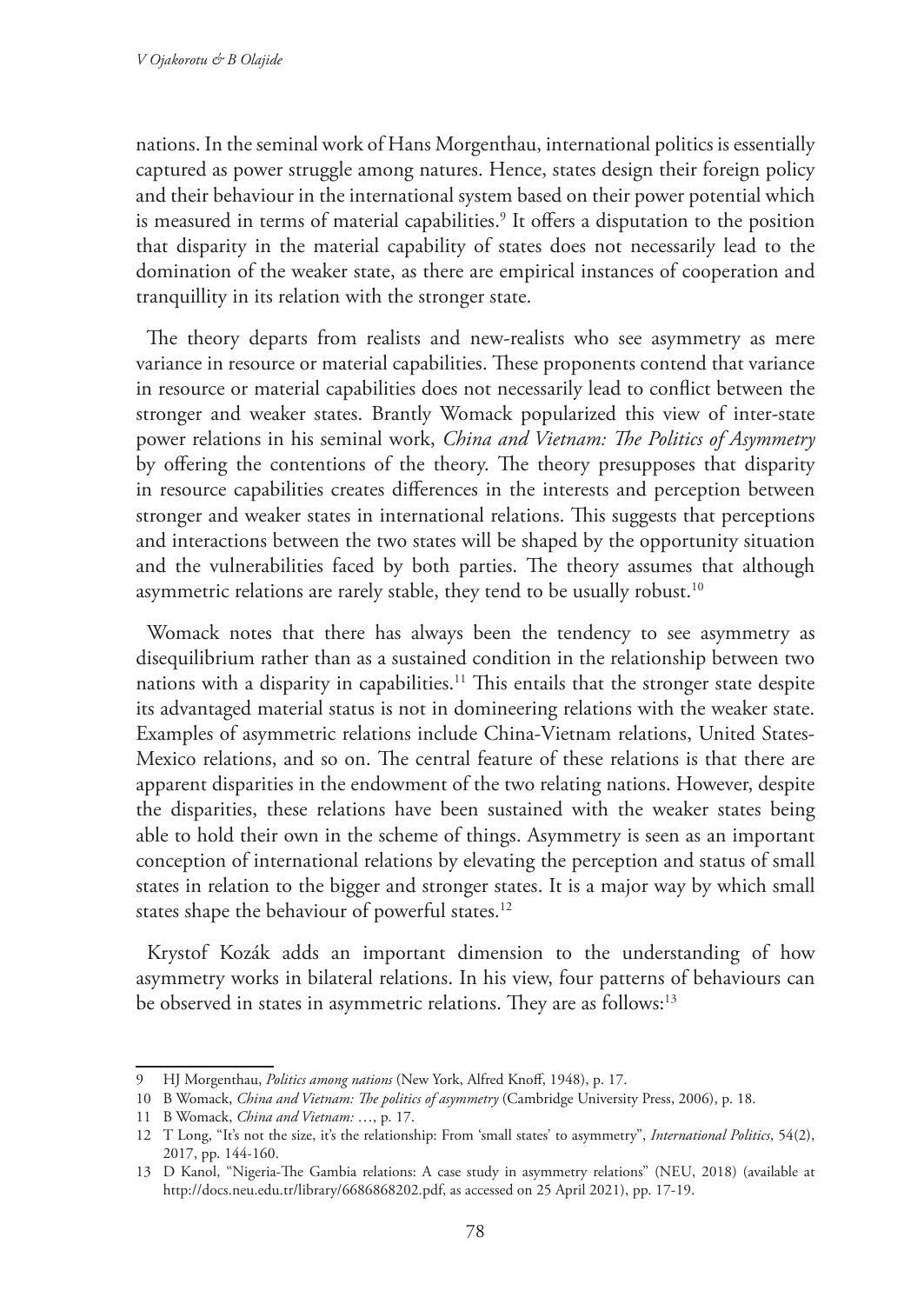nations. In the seminal work of Hans Morgenthau, international politics is essentially captured as power struggle among natures. Hence, states design their foreign policy and their behaviour in the international system based on their power potential which is measured in terms of material capabilities.<sup>9</sup> It offers a disputation to the position that disparity in the material capability of states does not necessarily lead to the domination of the weaker state, as there are empirical instances of cooperation and tranquillity in its relation with the stronger state.

The theory departs from realists and new-realists who see asymmetry as mere variance in resource or material capabilities. These proponents contend that variance in resource or material capabilities does not necessarily lead to conflict between the stronger and weaker states. Brantly Womack popularized this view of inter-state power relations in his seminal work, *China and Vietnam: The Politics of Asymmetry* by offering the contentions of the theory. The theory presupposes that disparity in resource capabilities creates differences in the interests and perception between stronger and weaker states in international relations. This suggests that perceptions and interactions between the two states will be shaped by the opportunity situation and the vulnerabilities faced by both parties. The theory assumes that although asymmetric relations are rarely stable, they tend to be usually robust.<sup>10</sup>

Womack notes that there has always been the tendency to see asymmetry as disequilibrium rather than as a sustained condition in the relationship between two nations with a disparity in capabilities.<sup>11</sup> This entails that the stronger state despite its advantaged material status is not in domineering relations with the weaker state. Examples of asymmetric relations include China-Vietnam relations, United States-Mexico relations, and so on. The central feature of these relations is that there are apparent disparities in the endowment of the two relating nations. However, despite the disparities, these relations have been sustained with the weaker states being able to hold their own in the scheme of things. Asymmetry is seen as an important conception of international relations by elevating the perception and status of small states in relation to the bigger and stronger states. It is a major way by which small states shape the behaviour of powerful states.<sup>12</sup>

Krystof Kozák adds an important dimension to the understanding of how asymmetry works in bilateral relations. In his view, four patterns of behaviours can be observed in states in asymmetric relations. They are as follows:<sup>13</sup>

<sup>9</sup> HJ Morgenthau, *Politics among nations* (New York, Alfred Knoff, 1948), p. 17.

<sup>10</sup> B Womack, *China and Vietnam: The politics of asymmetry* (Cambridge University Press, 2006), p. 18.

<sup>11</sup> B Womack, *China and Vietnam:* …, p. 17.

<sup>12</sup> T Long, "It's not the size, it's the relationship: From 'small states' to asymmetry", *International Politics*, 54(2), 2017, pp. 144-160.

<sup>13</sup> D Kanol, "Nigeria-The Gambia relations: A case study in asymmetry relations" (NEU, 2018) (available at http://docs.neu.edu.tr/library/6686868202.pdf, as accessed on 25 April 2021), pp. 17-19.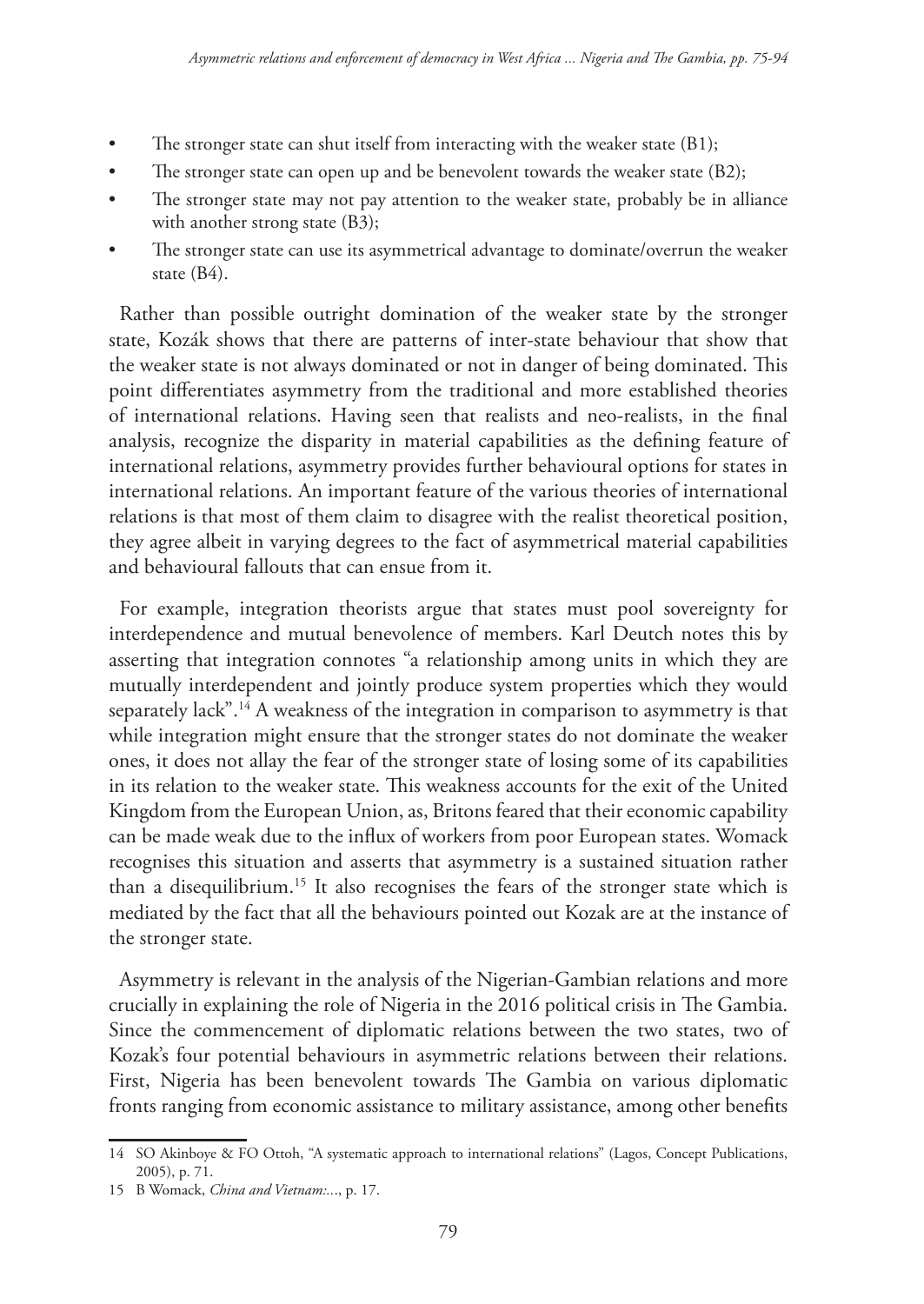- The stronger state can shut itself from interacting with the weaker state (B1);
- The stronger state can open up and be benevolent towards the weaker state (B2);
- The stronger state may not pay attention to the weaker state, probably be in alliance with another strong state (B3);
- The stronger state can use its asymmetrical advantage to dominate/overrun the weaker state (B4).

Rather than possible outright domination of the weaker state by the stronger state, Kozák shows that there are patterns of inter-state behaviour that show that the weaker state is not always dominated or not in danger of being dominated. This point differentiates asymmetry from the traditional and more established theories of international relations. Having seen that realists and neo-realists, in the final analysis, recognize the disparity in material capabilities as the defining feature of international relations, asymmetry provides further behavioural options for states in international relations. An important feature of the various theories of international relations is that most of them claim to disagree with the realist theoretical position, they agree albeit in varying degrees to the fact of asymmetrical material capabilities and behavioural fallouts that can ensue from it.

For example, integration theorists argue that states must pool sovereignty for interdependence and mutual benevolence of members. Karl Deutch notes this by asserting that integration connotes "a relationship among units in which they are mutually interdependent and jointly produce system properties which they would separately lack".14 A weakness of the integration in comparison to asymmetry is that while integration might ensure that the stronger states do not dominate the weaker ones, it does not allay the fear of the stronger state of losing some of its capabilities in its relation to the weaker state. This weakness accounts for the exit of the United Kingdom from the European Union, as, Britons feared that their economic capability can be made weak due to the influx of workers from poor European states. Womack recognises this situation and asserts that asymmetry is a sustained situation rather than a disequilibrium.15 It also recognises the fears of the stronger state which is mediated by the fact that all the behaviours pointed out Kozak are at the instance of the stronger state.

Asymmetry is relevant in the analysis of the Nigerian-Gambian relations and more crucially in explaining the role of Nigeria in the 2016 political crisis in The Gambia. Since the commencement of diplomatic relations between the two states, two of Kozak's four potential behaviours in asymmetric relations between their relations. First, Nigeria has been benevolent towards The Gambia on various diplomatic fronts ranging from economic assistance to military assistance, among other benefits

<sup>14</sup> SO Akinboye & FO Ottoh, "A systematic approach to international relations" (Lagos, Concept Publications, 2005), p. 71.

<sup>15</sup> B Womack, *China and Vietnam:..*., p. 17.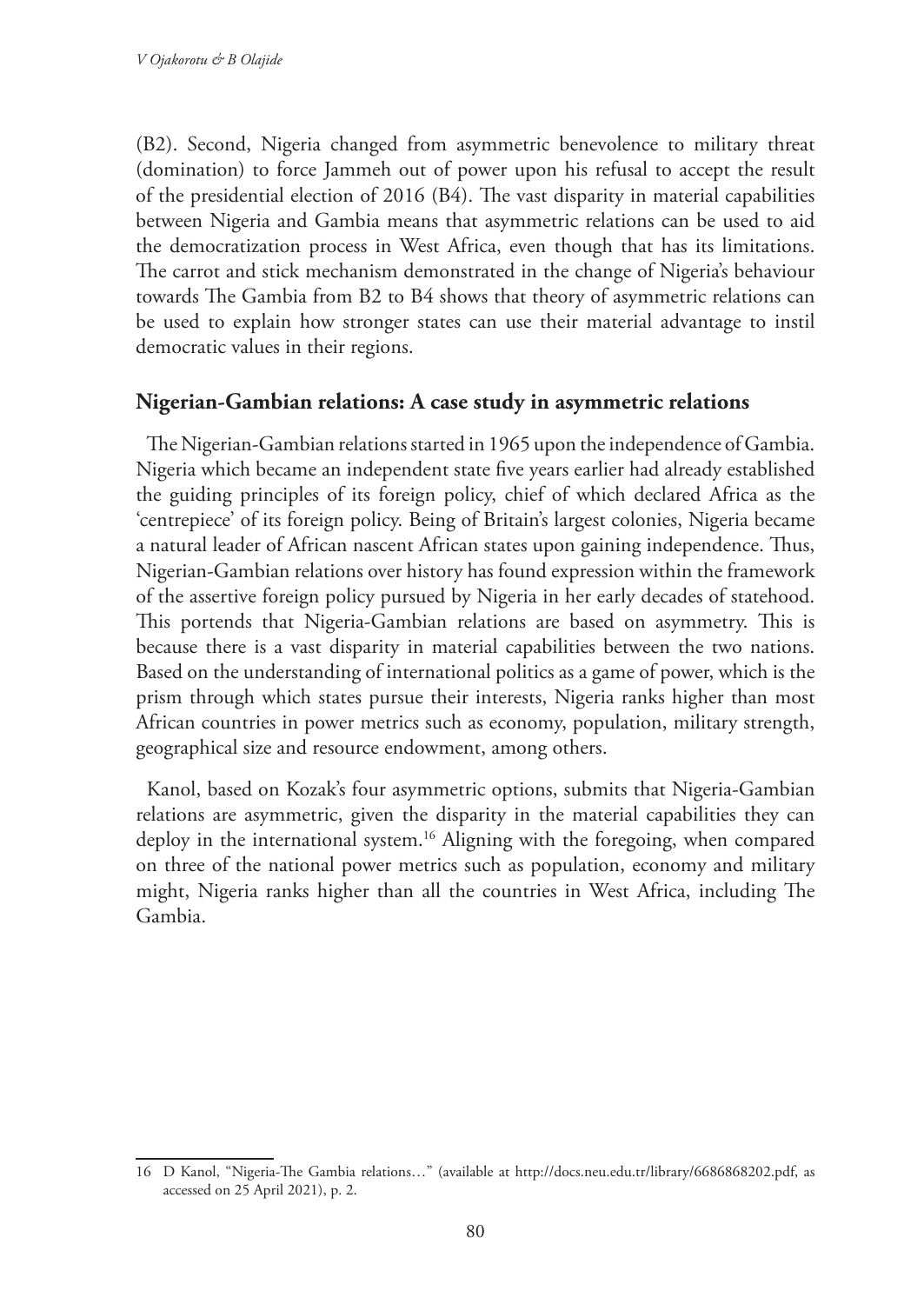(B2). Second, Nigeria changed from asymmetric benevolence to military threat (domination) to force Jammeh out of power upon his refusal to accept the result of the presidential election of 2016 (B4). The vast disparity in material capabilities between Nigeria and Gambia means that asymmetric relations can be used to aid the democratization process in West Africa, even though that has its limitations. The carrot and stick mechanism demonstrated in the change of Nigeria's behaviour towards The Gambia from B2 to B4 shows that theory of asymmetric relations can be used to explain how stronger states can use their material advantage to instil democratic values in their regions.

## **Nigerian-Gambian relations: A case study in asymmetric relations**

The Nigerian-Gambian relations started in 1965 upon the independence of Gambia. Nigeria which became an independent state five years earlier had already established the guiding principles of its foreign policy, chief of which declared Africa as the 'centrepiece' of its foreign policy. Being of Britain's largest colonies, Nigeria became a natural leader of African nascent African states upon gaining independence. Thus, Nigerian-Gambian relations over history has found expression within the framework of the assertive foreign policy pursued by Nigeria in her early decades of statehood. This portends that Nigeria-Gambian relations are based on asymmetry. This is because there is a vast disparity in material capabilities between the two nations. Based on the understanding of international politics as a game of power, which is the prism through which states pursue their interests, Nigeria ranks higher than most African countries in power metrics such as economy, population, military strength, geographical size and resource endowment, among others.

Kanol, based on Kozak's four asymmetric options, submits that Nigeria-Gambian relations are asymmetric, given the disparity in the material capabilities they can deploy in the international system.16 Aligning with the foregoing, when compared on three of the national power metrics such as population, economy and military might, Nigeria ranks higher than all the countries in West Africa, including The Gambia.

<sup>16</sup> D Kanol, "Nigeria-The Gambia relations…" (available at http://docs.neu.edu.tr/library/6686868202.pdf, as accessed on 25 April 2021), p. 2.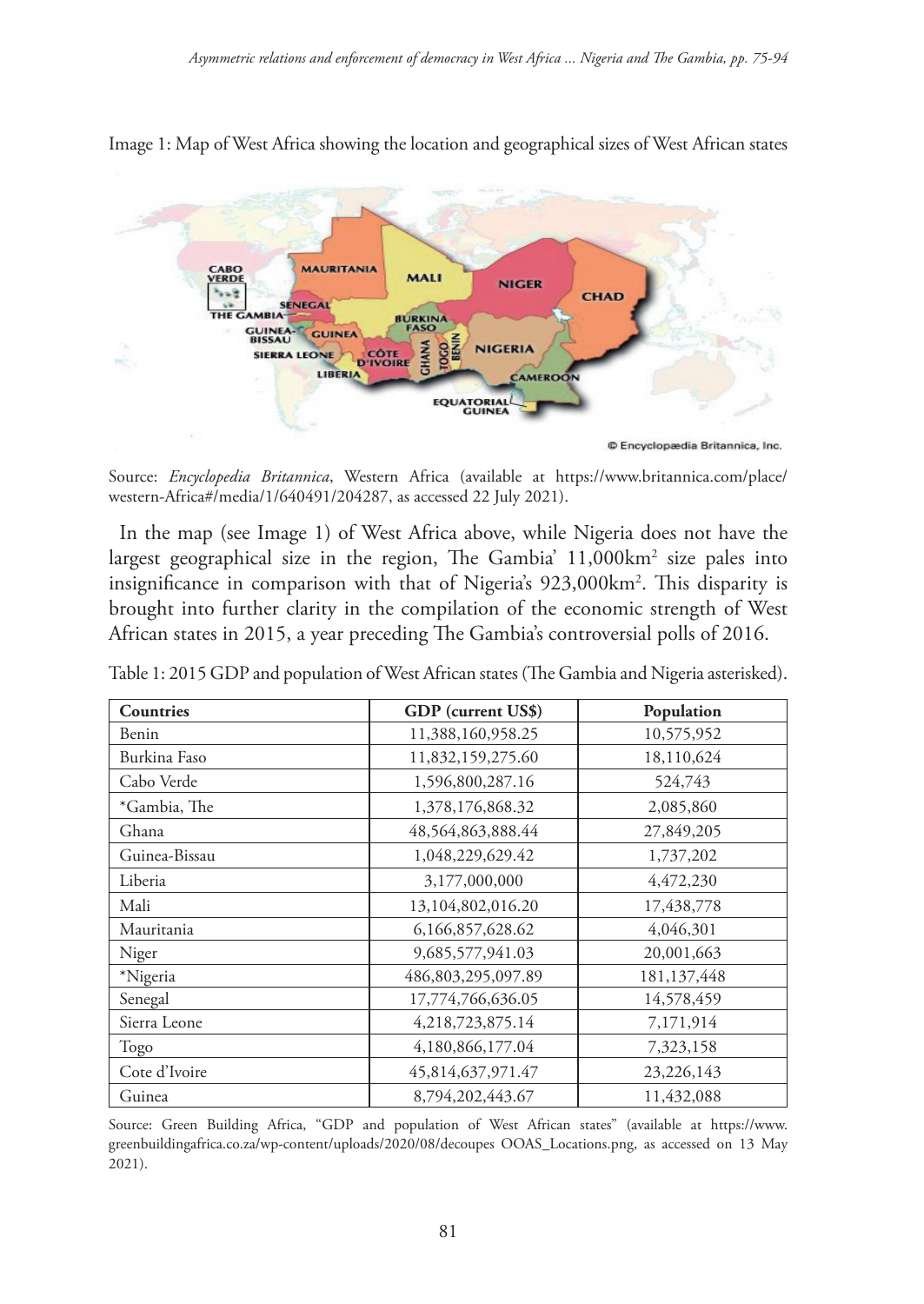

Image 1: Map of West Africa showing the location and geographical sizes of West African states

© Encyclopædia Britannica, Inc.

Source: *Encyclopedia Britannica*, Western Africa (available at https://www.britannica.com/place/ western-Africa#/media/1/640491/204287, as accessed 22 July 2021).

In the map (see Image 1) of West Africa above, while Nigeria does not have the largest geographical size in the region, The Gambia' 11,000km2 size pales into insignificance in comparison with that of Nigeria's 923,000km2 . This disparity is brought into further clarity in the compilation of the economic strength of West African states in 2015, a year preceding The Gambia's controversial polls of 2016.

| Countries     | GDP (current US\$) | Population    |
|---------------|--------------------|---------------|
| Benin         | 11,388,160,958.25  | 10,575,952    |
| Burkina Faso  | 11,832,159,275.60  | 18,110,624    |
| Cabo Verde    | 1,596,800,287.16   | 524,743       |
| *Gambia, The  | 1,378,176,868.32   | 2,085,860     |
| Ghana         | 48,564,863,888.44  | 27,849,205    |
| Guinea-Bissau | 1,048,229,629.42   | 1,737,202     |
| Liberia       | 3,177,000,000      | 4,472,230     |
| Mali          | 13,104,802,016.20  | 17,438,778    |
| Mauritania    | 6,166,857,628.62   | 4,046,301     |
| Niger         | 9,685,577,941.03   | 20,001,663    |
| *Nigeria      | 486,803,295,097.89 | 181, 137, 448 |
| Senegal       | 17,774,766,636.05  | 14,578,459    |
| Sierra Leone  | 4,218,723,875.14   | 7,171,914     |
| Togo          | 4,180,866,177.04   | 7,323,158     |
| Cote d'Ivoire | 45,814,637,971.47  | 23,226,143    |
| Guinea        | 8,794,202,443.67   | 11,432,088    |

Table 1: 2015 GDP and population of West African states (The Gambia and Nigeria asterisked).

Source: Green Building Africa, "GDP and population of West African states" (available at https://www. greenbuildingafrica.co.za/wp-content/uploads/2020/08/decoupes OOAS\_Locations.png, as accessed on 13 May 2021).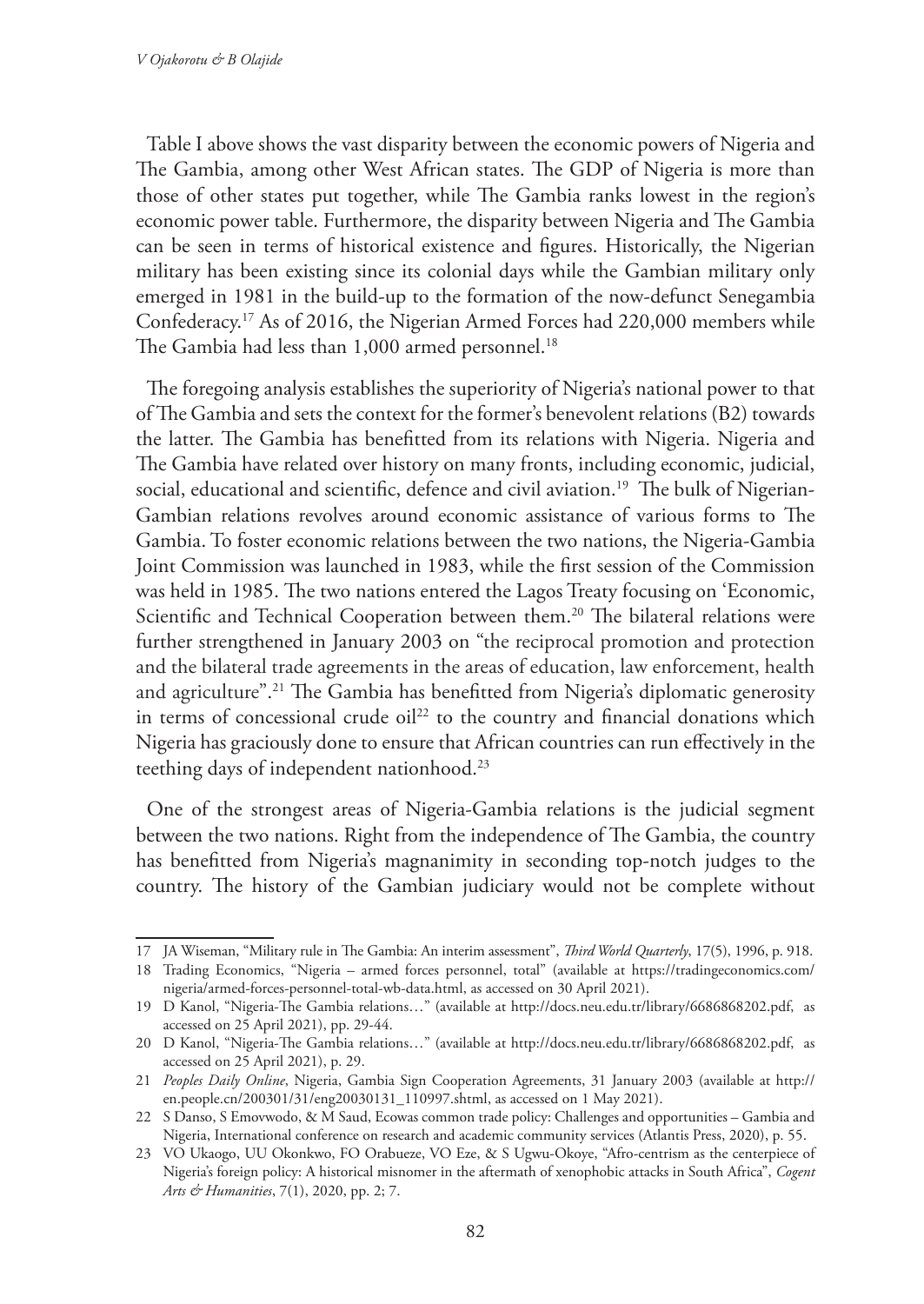Table I above shows the vast disparity between the economic powers of Nigeria and The Gambia, among other West African states. The GDP of Nigeria is more than those of other states put together, while The Gambia ranks lowest in the region's economic power table. Furthermore, the disparity between Nigeria and The Gambia can be seen in terms of historical existence and figures. Historically, the Nigerian military has been existing since its colonial days while the Gambian military only emerged in 1981 in the build-up to the formation of the now-defunct Senegambia Confederacy.17 As of 2016, the Nigerian Armed Forces had 220,000 members while The Gambia had less than 1,000 armed personnel.<sup>18</sup>

The foregoing analysis establishes the superiority of Nigeria's national power to that of The Gambia and sets the context for the former's benevolent relations (B2) towards the latter. The Gambia has benefitted from its relations with Nigeria. Nigeria and The Gambia have related over history on many fronts, including economic, judicial, social, educational and scientific, defence and civil aviation.<sup>19</sup> The bulk of Nigerian-Gambian relations revolves around economic assistance of various forms to The Gambia. To foster economic relations between the two nations, the Nigeria-Gambia Joint Commission was launched in 1983, while the first session of the Commission was held in 1985. The two nations entered the Lagos Treaty focusing on 'Economic, Scientific and Technical Cooperation between them.<sup>20</sup> The bilateral relations were further strengthened in January 2003 on "the reciprocal promotion and protection and the bilateral trade agreements in the areas of education, law enforcement, health and agriculture".<sup>21</sup> The Gambia has benefitted from Nigeria's diplomatic generosity in terms of concessional crude oil<sup>22</sup> to the country and financial donations which Nigeria has graciously done to ensure that African countries can run effectively in the teething days of independent nationhood.<sup>23</sup>

One of the strongest areas of Nigeria-Gambia relations is the judicial segment between the two nations. Right from the independence of The Gambia, the country has benefitted from Nigeria's magnanimity in seconding top-notch judges to the country. The history of the Gambian judiciary would not be complete without

<sup>17</sup> JA Wiseman, "Military rule in The Gambia: An interim assessment", *Third World Quarterly*, 17(5), 1996, p. 918.

<sup>18</sup> Trading Economics, "Nigeria – armed forces personnel, total" (available at https://tradingeconomics.com/ nigeria/armed-forces-personnel-total-wb-data.html, as accessed on 30 April 2021).

<sup>19</sup> D Kanol, "Nigeria-The Gambia relations…" (available at http://docs.neu.edu.tr/library/6686868202.pdf, as accessed on 25 April 2021), pp. 29-44.

<sup>20</sup> D Kanol, "Nigeria-The Gambia relations…" (available at http://docs.neu.edu.tr/library/6686868202.pdf, as accessed on 25 April 2021), p. 29.

<sup>21</sup> *Peoples Daily Online*, Nigeria, Gambia Sign Cooperation Agreements, 31 January 2003 (available at http:// en.people.cn/200301/31/eng20030131\_110997.shtml, as accessed on 1 May 2021).

<sup>22</sup> S Danso, S Emovwodo, & M Saud, Ecowas common trade policy: Challenges and opportunities – Gambia and Nigeria, International conference on research and academic community services (Atlantis Press, 2020), p. 55.

<sup>23</sup> VO Ukaogo, UU Okonkwo, FO Orabueze, VO Eze, & S Ugwu-Okoye, "Afro-centrism as the centerpiece of Nigeria's foreign policy: A historical misnomer in the aftermath of xenophobic attacks in South Africa", *Cogent Arts & Humanities*, 7(1), 2020, pp. 2; 7.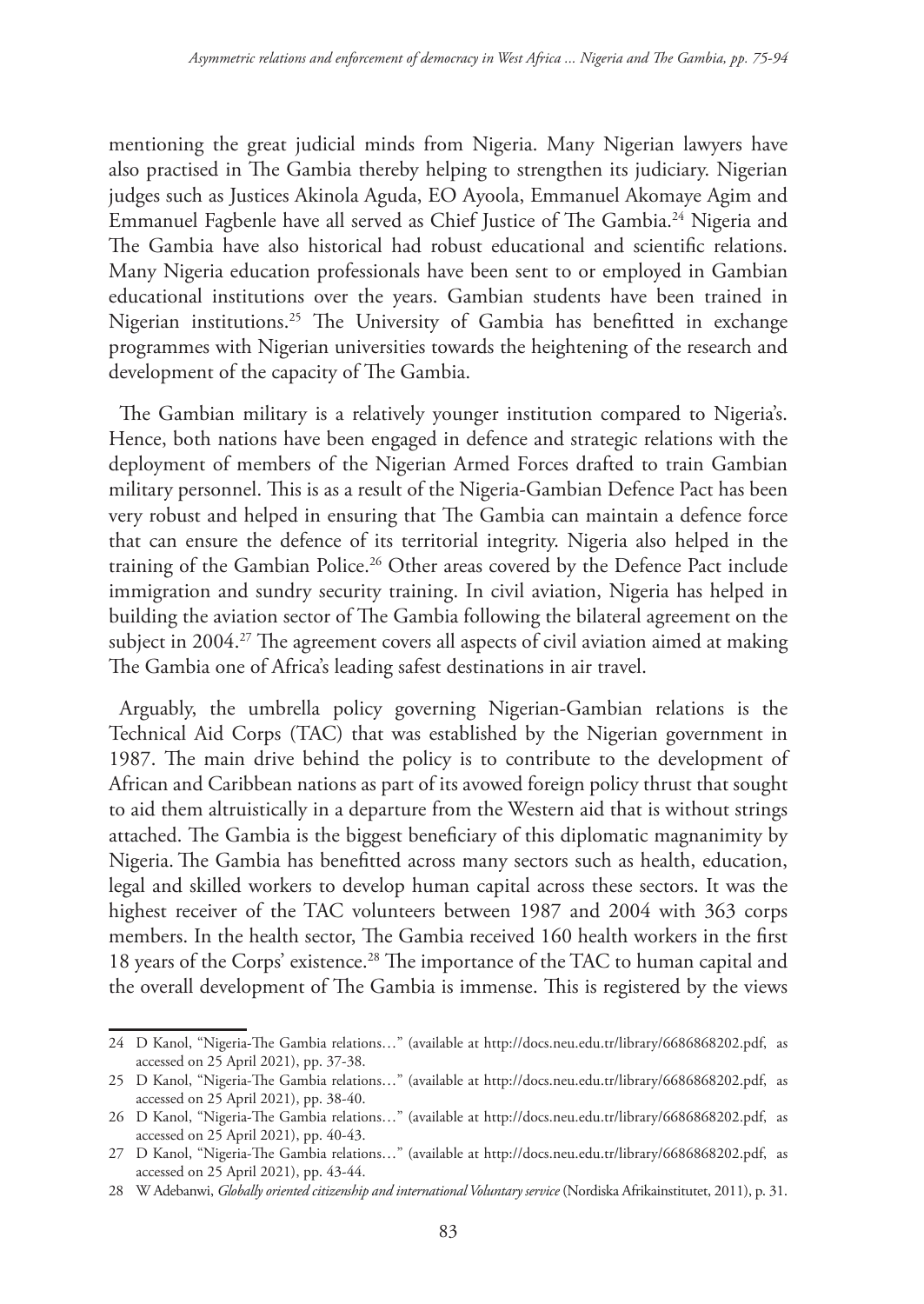mentioning the great judicial minds from Nigeria. Many Nigerian lawyers have also practised in The Gambia thereby helping to strengthen its judiciary. Nigerian judges such as Justices Akinola Aguda, EO Ayoola, Emmanuel Akomaye Agim and Emmanuel Fagbenle have all served as Chief Justice of The Gambia.24 Nigeria and The Gambia have also historical had robust educational and scientific relations. Many Nigeria education professionals have been sent to or employed in Gambian educational institutions over the years. Gambian students have been trained in Nigerian institutions.25 The University of Gambia has benefitted in exchange programmes with Nigerian universities towards the heightening of the research and development of the capacity of The Gambia.

The Gambian military is a relatively younger institution compared to Nigeria's. Hence, both nations have been engaged in defence and strategic relations with the deployment of members of the Nigerian Armed Forces drafted to train Gambian military personnel. This is as a result of the Nigeria-Gambian Defence Pact has been very robust and helped in ensuring that The Gambia can maintain a defence force that can ensure the defence of its territorial integrity. Nigeria also helped in the training of the Gambian Police.<sup>26</sup> Other areas covered by the Defence Pact include immigration and sundry security training. In civil aviation, Nigeria has helped in building the aviation sector of The Gambia following the bilateral agreement on the subject in 2004.<sup>27</sup> The agreement covers all aspects of civil aviation aimed at making The Gambia one of Africa's leading safest destinations in air travel.

Arguably, the umbrella policy governing Nigerian-Gambian relations is the Technical Aid Corps (TAC) that was established by the Nigerian government in 1987. The main drive behind the policy is to contribute to the development of African and Caribbean nations as part of its avowed foreign policy thrust that sought to aid them altruistically in a departure from the Western aid that is without strings attached. The Gambia is the biggest beneficiary of this diplomatic magnanimity by Nigeria. The Gambia has benefitted across many sectors such as health, education, legal and skilled workers to develop human capital across these sectors. It was the highest receiver of the TAC volunteers between 1987 and 2004 with 363 corps members. In the health sector, The Gambia received 160 health workers in the first 18 years of the Corps' existence.28 The importance of the TAC to human capital and the overall development of The Gambia is immense. This is registered by the views

<sup>24</sup> D Kanol, "Nigeria-The Gambia relations…" (available at http://docs.neu.edu.tr/library/6686868202.pdf, as accessed on 25 April 2021), pp. 37-38.

<sup>25</sup> D Kanol, "Nigeria-The Gambia relations…" (available at http://docs.neu.edu.tr/library/6686868202.pdf, as accessed on 25 April 2021), pp. 38-40.

<sup>26</sup> D Kanol, "Nigeria-The Gambia relations…" (available at http://docs.neu.edu.tr/library/6686868202.pdf, as accessed on 25 April 2021), pp. 40-43.

<sup>27</sup> D Kanol, "Nigeria-The Gambia relations…" (available at http://docs.neu.edu.tr/library/6686868202.pdf, as accessed on 25 April 2021), pp. 43-44.

<sup>28</sup> W Adebanwi, *Globally oriented citizenship and international Voluntary service* (Nordiska Afrikainstitutet, 2011), p. 31.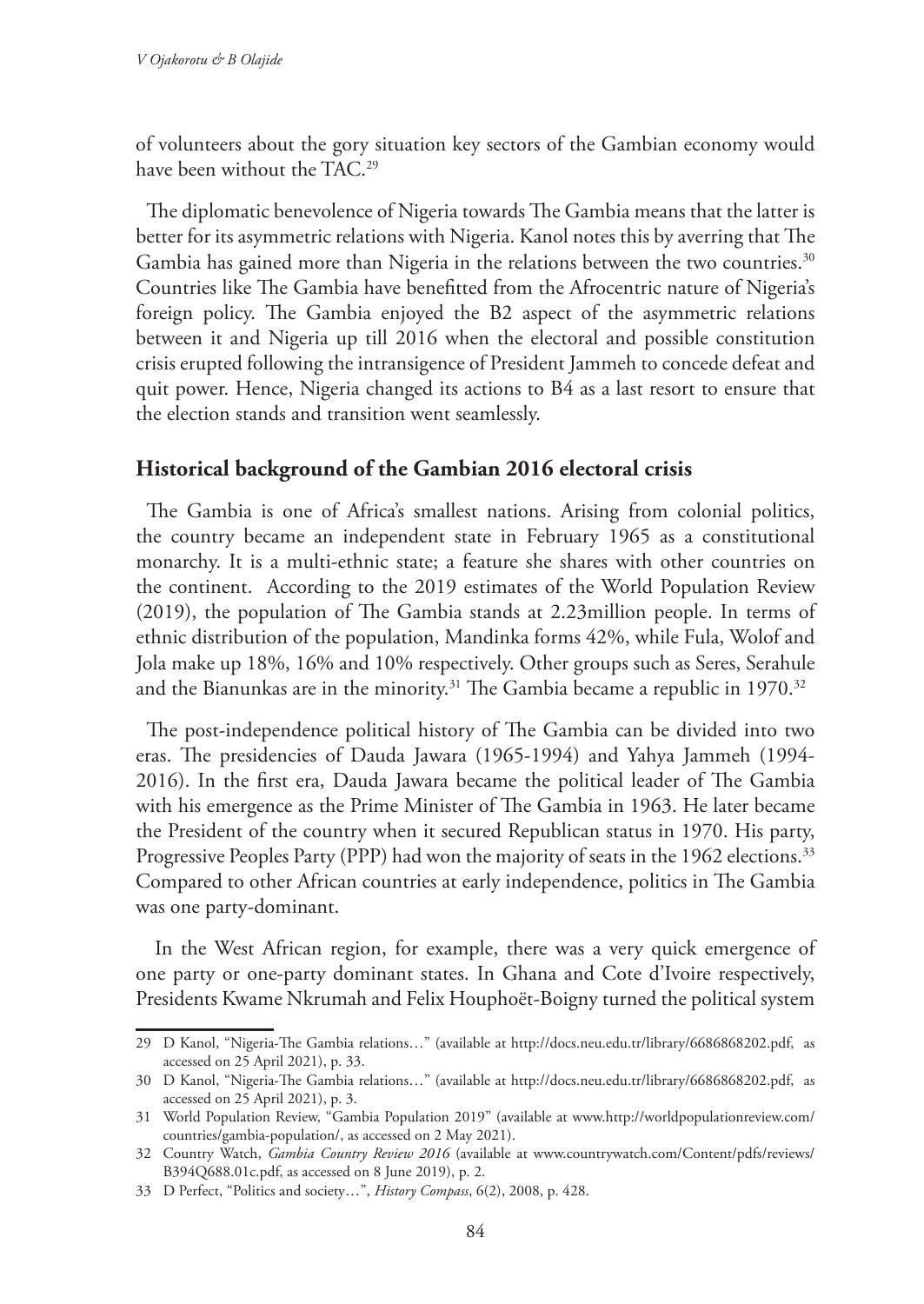of volunteers about the gory situation key sectors of the Gambian economy would have been without the TAC.<sup>29</sup>

The diplomatic benevolence of Nigeria towards The Gambia means that the latter is better for its asymmetric relations with Nigeria. Kanol notes this by averring that The Gambia has gained more than Nigeria in the relations between the two countries.<sup>30</sup> Countries like The Gambia have benefitted from the Afrocentric nature of Nigeria's foreign policy. The Gambia enjoyed the B2 aspect of the asymmetric relations between it and Nigeria up till 2016 when the electoral and possible constitution crisis erupted following the intransigence of President Jammeh to concede defeat and quit power. Hence, Nigeria changed its actions to B4 as a last resort to ensure that the election stands and transition went seamlessly.

#### **Historical background of the Gambian 2016 electoral crisis**

The Gambia is one of Africa's smallest nations. Arising from colonial politics, the country became an independent state in February 1965 as a constitutional monarchy. It is a multi-ethnic state; a feature she shares with other countries on the continent. According to the 2019 estimates of the World Population Review (2019), the population of The Gambia stands at 2.23million people. In terms of ethnic distribution of the population, Mandinka forms 42%, while Fula, Wolof and Jola make up 18%, 16% and 10% respectively. Other groups such as Seres, Serahule and the Bianunkas are in the minority.<sup>31</sup> The Gambia became a republic in 1970.<sup>32</sup>

The post-independence political history of The Gambia can be divided into two eras. The presidencies of Dauda Jawara (1965-1994) and Yahya Jammeh (1994- 2016). In the first era, Dauda Jawara became the political leader of The Gambia with his emergence as the Prime Minister of The Gambia in 1963. He later became the President of the country when it secured Republican status in 1970. His party, Progressive Peoples Party (PPP) had won the majority of seats in the 1962 elections.<sup>33</sup> Compared to other African countries at early independence, politics in The Gambia was one party-dominant.

 In the West African region, for example, there was a very quick emergence of one party or one-party dominant states. In Ghana and Cote d'Ivoire respectively, Presidents Kwame Nkrumah and Felix Houphoët-Boigny turned the political system

<sup>29</sup> D Kanol, "Nigeria-The Gambia relations…" (available at http://docs.neu.edu.tr/library/6686868202.pdf, as accessed on 25 April 2021), p. 33.

<sup>30</sup> D Kanol, "Nigeria-The Gambia relations…" (available at http://docs.neu.edu.tr/library/6686868202.pdf, as accessed on 25 April 2021), p. 3.

<sup>31</sup> World Population Review, "Gambia Population 2019" (available at www.http://worldpopulationreview.com/ countries/gambia-population/, as accessed on 2 May 2021).

<sup>32</sup> Country Watch, *Gambia Country Review 2016* (available at www.countrywatch.com/Content/pdfs/reviews/ B394Q688.01c.pdf, as accessed on 8 June 2019), p. 2.

<sup>33</sup> D Perfect, "Politics and society…", *History Compass*, 6(2), 2008, p. 428.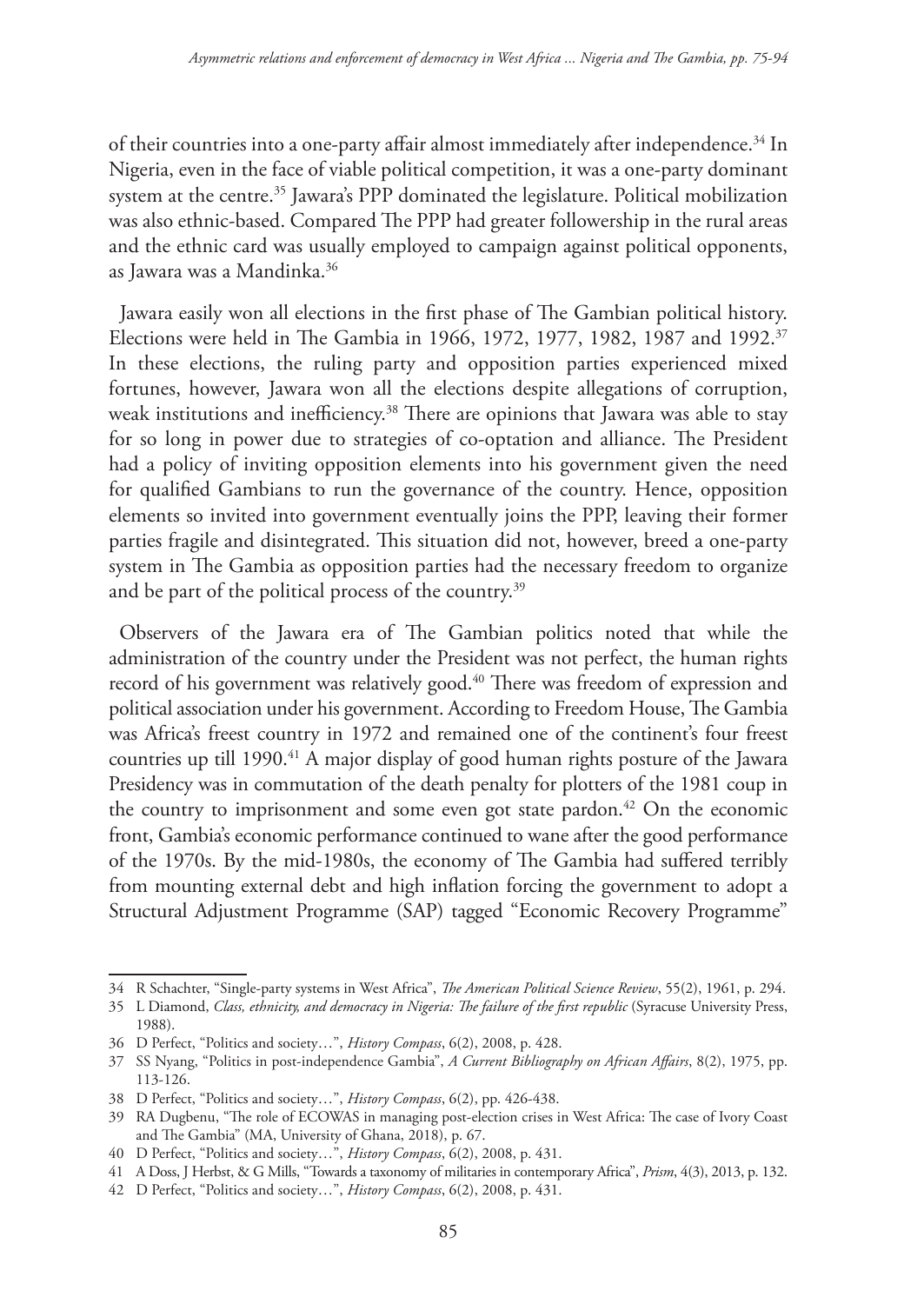of their countries into a one-party affair almost immediately after independence.<sup>34</sup> In Nigeria, even in the face of viable political competition, it was a one-party dominant system at the centre.<sup>35</sup> Jawara's PPP dominated the legislature. Political mobilization was also ethnic-based. Compared The PPP had greater followership in the rural areas and the ethnic card was usually employed to campaign against political opponents, as Jawara was a Mandinka.36

Jawara easily won all elections in the first phase of The Gambian political history. Elections were held in The Gambia in 1966, 1972, 1977, 1982, 1987 and 1992.<sup>37</sup> In these elections, the ruling party and opposition parties experienced mixed fortunes, however, Jawara won all the elections despite allegations of corruption, weak institutions and inefficiency.<sup>38</sup> There are opinions that Jawara was able to stay for so long in power due to strategies of co-optation and alliance. The President had a policy of inviting opposition elements into his government given the need for qualified Gambians to run the governance of the country. Hence, opposition elements so invited into government eventually joins the PPP, leaving their former parties fragile and disintegrated. This situation did not, however, breed a one-party system in The Gambia as opposition parties had the necessary freedom to organize and be part of the political process of the country.<sup>39</sup>

Observers of the Jawara era of The Gambian politics noted that while the administration of the country under the President was not perfect, the human rights record of his government was relatively good.<sup>40</sup> There was freedom of expression and political association under his government. According to Freedom House, The Gambia was Africa's freest country in 1972 and remained one of the continent's four freest countries up till 1990.<sup>41</sup> A major display of good human rights posture of the Jawara Presidency was in commutation of the death penalty for plotters of the 1981 coup in the country to imprisonment and some even got state pardon. $42$  On the economic front, Gambia's economic performance continued to wane after the good performance of the 1970s. By the mid-1980s, the economy of The Gambia had suffered terribly from mounting external debt and high inflation forcing the government to adopt a Structural Adjustment Programme (SAP) tagged "Economic Recovery Programme"

<sup>34</sup> R Schachter, "Single-party systems in West Africa", *The American Political Science Review*, 55(2), 1961, p. 294.

<sup>35</sup> L Diamond, *Class, ethnicity, and democracy in Nigeria: The failure of the first republic* (Syracuse University Press, 1988).

<sup>36</sup> D Perfect, "Politics and society…", *History Compass*, 6(2), 2008, p. 428.

<sup>37</sup> SS Nyang, "Politics in post-independence Gambia", *A Current Bibliography on African Affairs*, 8(2), 1975, pp. 113-126.

<sup>38</sup> D Perfect, "Politics and society…", *History Compass*, 6(2), pp. 426-438.

<sup>39</sup> RA Dugbenu, "The role of ECOWAS in managing post-election crises in West Africa: The case of Ivory Coast and The Gambia" (MA, University of Ghana, 2018), p. 67.

<sup>40</sup> D Perfect, "Politics and society…", *History Compass*, 6(2), 2008, p. 431.

<sup>41</sup> A Doss, J Herbst, & G Mills, "Towards a taxonomy of militaries in contemporary Africa", *Prism*, 4(3), 2013, p. 132.

<sup>42</sup> D Perfect, "Politics and society…", *History Compass*, 6(2), 2008, p. 431.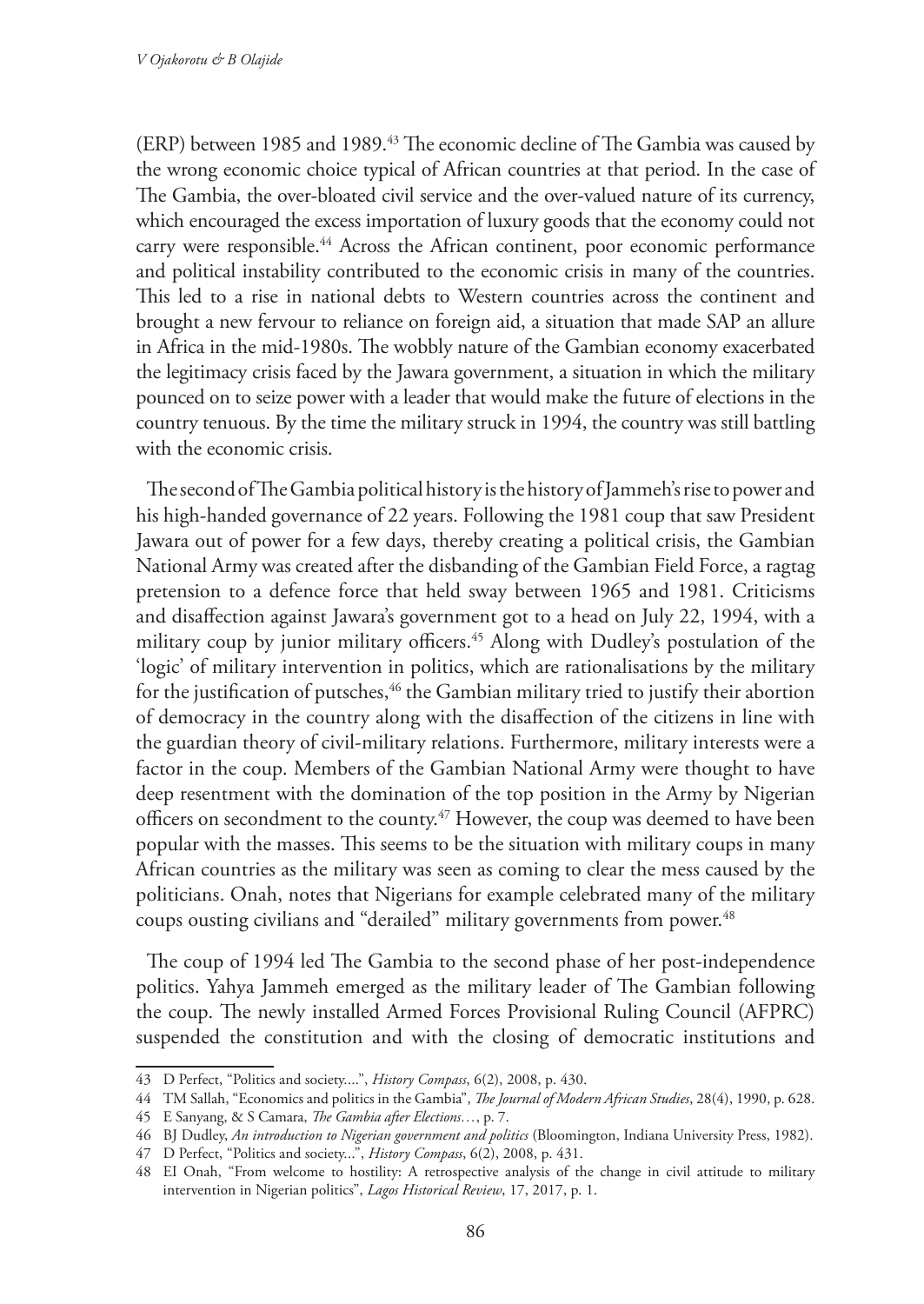(ERP) between 1985 and 1989.43 The economic decline of The Gambia was caused by the wrong economic choice typical of African countries at that period. In the case of The Gambia, the over-bloated civil service and the over-valued nature of its currency, which encouraged the excess importation of luxury goods that the economy could not carry were responsible.<sup>44</sup> Across the African continent, poor economic performance and political instability contributed to the economic crisis in many of the countries. This led to a rise in national debts to Western countries across the continent and brought a new fervour to reliance on foreign aid, a situation that made SAP an allure in Africa in the mid-1980s. The wobbly nature of the Gambian economy exacerbated the legitimacy crisis faced by the Jawara government, a situation in which the military pounced on to seize power with a leader that would make the future of elections in the country tenuous. By the time the military struck in 1994, the country was still battling with the economic crisis.

The second of The Gambia political history is the history of Jammeh's rise to power and his high-handed governance of 22 years. Following the 1981 coup that saw President Jawara out of power for a few days, thereby creating a political crisis, the Gambian National Army was created after the disbanding of the Gambian Field Force, a ragtag pretension to a defence force that held sway between 1965 and 1981. Criticisms and disaffection against Jawara's government got to a head on July 22, 1994, with a military coup by junior military officers.<sup>45</sup> Along with Dudley's postulation of the 'logic' of military intervention in politics, which are rationalisations by the military for the justification of putsches,<sup>46</sup> the Gambian military tried to justify their abortion of democracy in the country along with the disaffection of the citizens in line with the guardian theory of civil-military relations. Furthermore, military interests were a factor in the coup. Members of the Gambian National Army were thought to have deep resentment with the domination of the top position in the Army by Nigerian officers on secondment to the county.<sup>47</sup> However, the coup was deemed to have been popular with the masses. This seems to be the situation with military coups in many African countries as the military was seen as coming to clear the mess caused by the politicians. Onah, notes that Nigerians for example celebrated many of the military coups ousting civilians and "derailed" military governments from power.<sup>48</sup>

The coup of 1994 led The Gambia to the second phase of her post-independence politics. Yahya Jammeh emerged as the military leader of The Gambian following the coup. The newly installed Armed Forces Provisional Ruling Council (AFPRC) suspended the constitution and with the closing of democratic institutions and

<sup>43</sup> D Perfect, "Politics and society....", *History Compass*, 6(2), 2008, p. 430.

<sup>44</sup> TM Sallah, "Economics and politics in the Gambia", *The Journal of Modern African Studies*, 28(4), 1990, p. 628.

<sup>45</sup> E Sanyang, & S Camara, *The Gambia after Elections…*, p. 7.

<sup>46</sup> BJ Dudley, *An introduction to Nigerian government and politics* (Bloomington, Indiana University Press, 1982).

<sup>47</sup> D Perfect, "Politics and society...", *History Compass*, 6(2), 2008, p. 431.

<sup>48</sup> EI Onah, "From welcome to hostility: A retrospective analysis of the change in civil attitude to military intervention in Nigerian politics", *Lagos Historical Review*, 17, 2017, p. 1.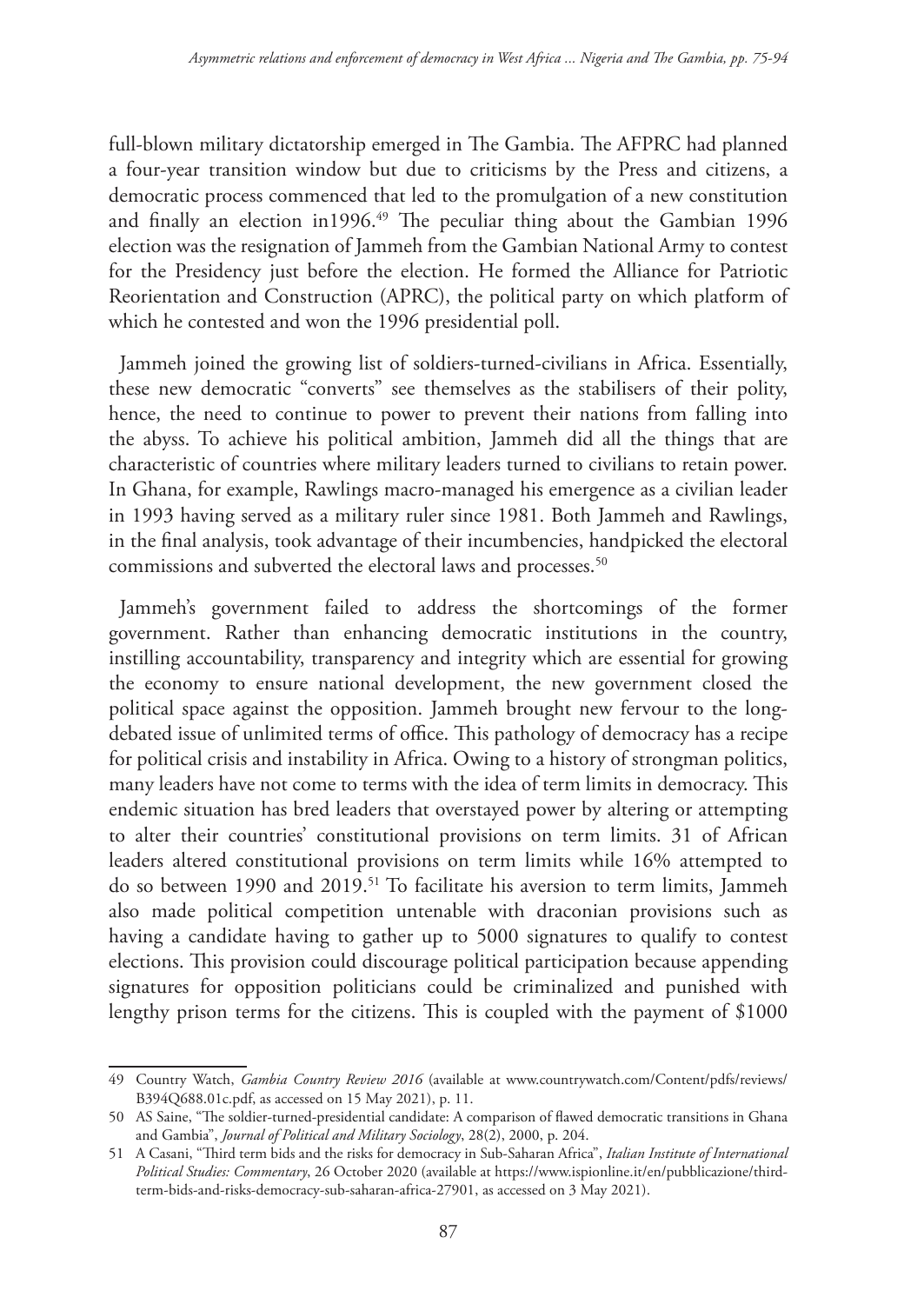full-blown military dictatorship emerged in The Gambia. The AFPRC had planned a four-year transition window but due to criticisms by the Press and citizens, a democratic process commenced that led to the promulgation of a new constitution and finally an election in1996.<sup>49</sup> The peculiar thing about the Gambian 1996 election was the resignation of Jammeh from the Gambian National Army to contest for the Presidency just before the election. He formed the Alliance for Patriotic Reorientation and Construction (APRC), the political party on which platform of which he contested and won the 1996 presidential poll.

Jammeh joined the growing list of soldiers-turned-civilians in Africa. Essentially, these new democratic "converts" see themselves as the stabilisers of their polity, hence, the need to continue to power to prevent their nations from falling into the abyss. To achieve his political ambition, Jammeh did all the things that are characteristic of countries where military leaders turned to civilians to retain power. In Ghana, for example, Rawlings macro-managed his emergence as a civilian leader in 1993 having served as a military ruler since 1981. Both Jammeh and Rawlings, in the final analysis, took advantage of their incumbencies, handpicked the electoral commissions and subverted the electoral laws and processes.<sup>50</sup>

Jammeh's government failed to address the shortcomings of the former government. Rather than enhancing democratic institutions in the country, instilling accountability, transparency and integrity which are essential for growing the economy to ensure national development, the new government closed the political space against the opposition. Jammeh brought new fervour to the longdebated issue of unlimited terms of office. This pathology of democracy has a recipe for political crisis and instability in Africa. Owing to a history of strongman politics, many leaders have not come to terms with the idea of term limits in democracy. This endemic situation has bred leaders that overstayed power by altering or attempting to alter their countries' constitutional provisions on term limits. 31 of African leaders altered constitutional provisions on term limits while 16% attempted to do so between 1990 and 2019.<sup>51</sup> To facilitate his aversion to term limits, Jammeh also made political competition untenable with draconian provisions such as having a candidate having to gather up to 5000 signatures to qualify to contest elections. This provision could discourage political participation because appending signatures for opposition politicians could be criminalized and punished with lengthy prison terms for the citizens. This is coupled with the payment of \$1000

<sup>49</sup> Country Watch, *Gambia Country Review 2016* (available at www.countrywatch.com/Content/pdfs/reviews/ B394Q688.01c.pdf, as accessed on 15 May 2021), p. 11.

<sup>50</sup> AS Saine, "The soldier-turned-presidential candidate: A comparison of flawed democratic transitions in Ghana and Gambia", *Journal of Political and Military Sociology*, 28(2), 2000, p. 204.

<sup>51</sup> A Casani, "Third term bids and the risks for democracy in Sub-Saharan Africa", *Italian Institute of International Political Studies: Commentary*, 26 October 2020 (available at https://www.ispionline.it/en/pubblicazione/thirdterm-bids-and-risks-democracy-sub-saharan-africa-27901, as accessed on 3 May 2021).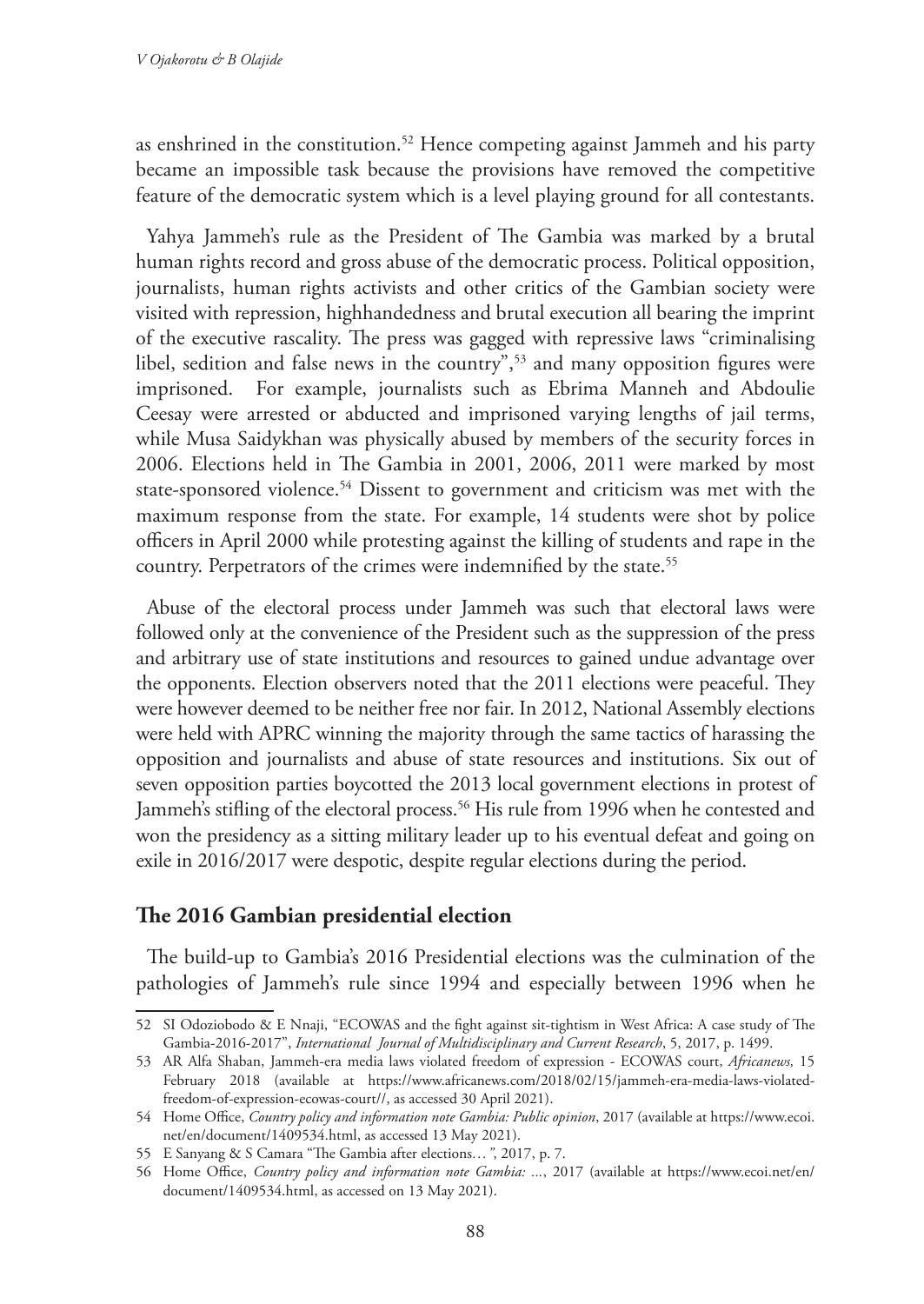as enshrined in the constitution.52 Hence competing against Jammeh and his party became an impossible task because the provisions have removed the competitive feature of the democratic system which is a level playing ground for all contestants.

Yahya Jammeh's rule as the President of The Gambia was marked by a brutal human rights record and gross abuse of the democratic process. Political opposition, journalists, human rights activists and other critics of the Gambian society were visited with repression, highhandedness and brutal execution all bearing the imprint of the executive rascality. The press was gagged with repressive laws "criminalising libel, sedition and false news in the country",<sup>53</sup> and many opposition figures were imprisoned. For example, journalists such as Ebrima Manneh and Abdoulie Ceesay were arrested or abducted and imprisoned varying lengths of jail terms, while Musa Saidykhan was physically abused by members of the security forces in 2006. Elections held in The Gambia in 2001, 2006, 2011 were marked by most state-sponsored violence.<sup>54</sup> Dissent to government and criticism was met with the maximum response from the state. For example, 14 students were shot by police officers in April 2000 while protesting against the killing of students and rape in the country. Perpetrators of the crimes were indemnified by the state.<sup>55</sup>

Abuse of the electoral process under Jammeh was such that electoral laws were followed only at the convenience of the President such as the suppression of the press and arbitrary use of state institutions and resources to gained undue advantage over the opponents. Election observers noted that the 2011 elections were peaceful. They were however deemed to be neither free nor fair. In 2012, National Assembly elections were held with APRC winning the majority through the same tactics of harassing the opposition and journalists and abuse of state resources and institutions. Six out of seven opposition parties boycotted the 2013 local government elections in protest of Jammeh's stifling of the electoral process.<sup>56</sup> His rule from 1996 when he contested and won the presidency as a sitting military leader up to his eventual defeat and going on exile in 2016/2017 were despotic, despite regular elections during the period.

### **The 2016 Gambian presidential election**

The build-up to Gambia's 2016 Presidential elections was the culmination of the pathologies of Jammeh's rule since 1994 and especially between 1996 when he

<sup>52</sup> SI Odoziobodo & E Nnaji, "ECOWAS and the fight against sit-tightism in West Africa: A case study of The Gambia-2016-2017", *International Journal of Multidisciplinary and Current Research*, 5, 2017, p. 1499.

<sup>53</sup> AR Alfa Shaban, Jammeh-era media laws violated freedom of expression - ECOWAS court, *Africanews,* 15 February 2018 (available at https://www.africanews.com/2018/02/15/jammeh-era-media-laws-violatedfreedom-of-expression-ecowas-court//, as accessed 30 April 2021).

<sup>54</sup> Home Office, *Country policy and information note Gambia: Public opinion*, 2017 (available at https://www.ecoi. net/en/document/1409534.html, as accessed 13 May 2021).

<sup>55</sup> E Sanyang & S Camara "The Gambia after elections*…"*, 2017, p. 7.

<sup>56</sup> Home Office, *Country policy and information note Gambia: ...*, 2017 (available at https://www.ecoi.net/en/ document/1409534.html, as accessed on 13 May 2021).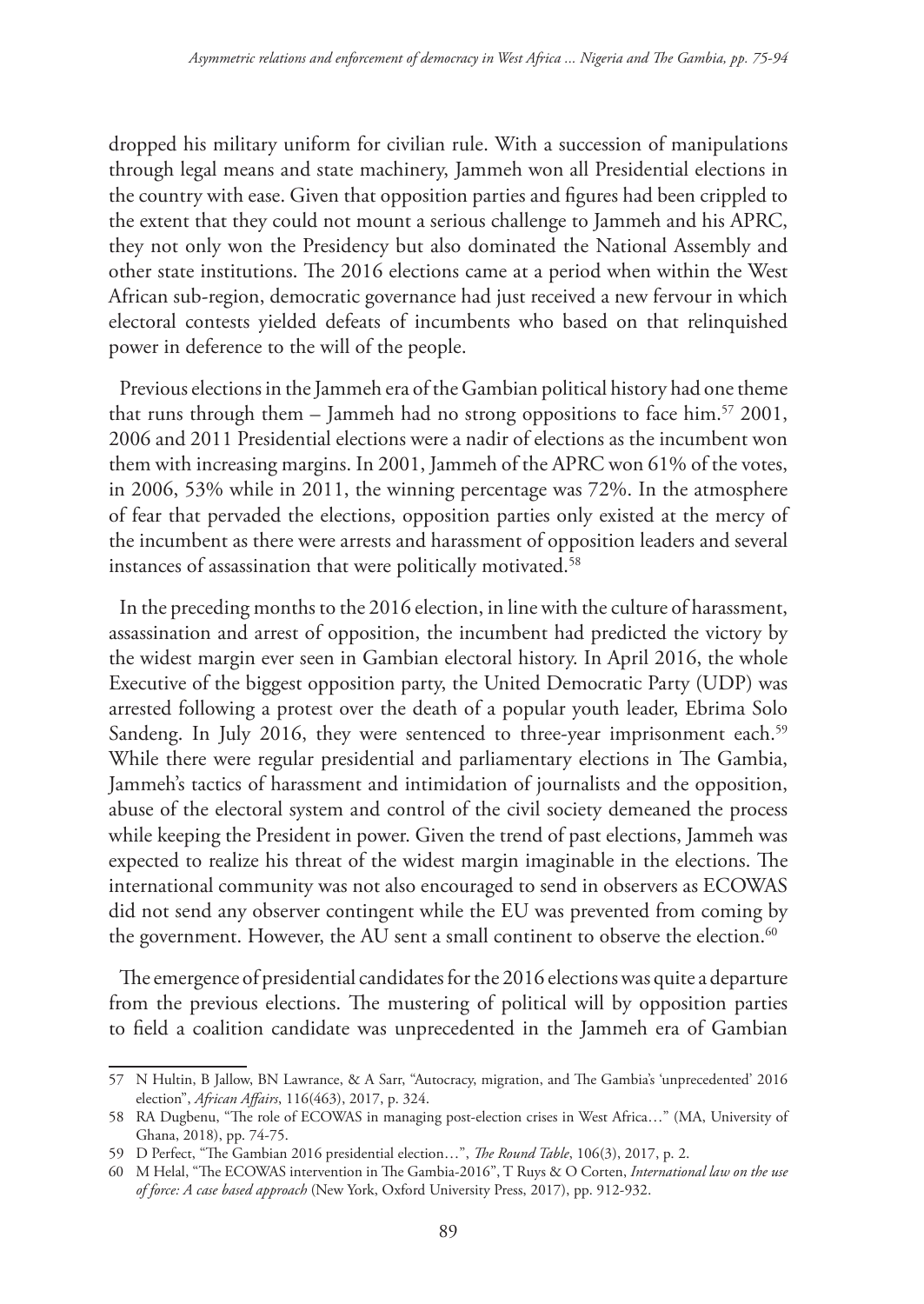dropped his military uniform for civilian rule. With a succession of manipulations through legal means and state machinery, Jammeh won all Presidential elections in the country with ease. Given that opposition parties and figures had been crippled to the extent that they could not mount a serious challenge to Jammeh and his APRC, they not only won the Presidency but also dominated the National Assembly and other state institutions. The 2016 elections came at a period when within the West African sub-region, democratic governance had just received a new fervour in which electoral contests yielded defeats of incumbents who based on that relinquished power in deference to the will of the people.

Previous elections in the Jammeh era of the Gambian political history had one theme that runs through them – Jammeh had no strong oppositions to face him.<sup>57</sup> 2001, 2006 and 2011 Presidential elections were a nadir of elections as the incumbent won them with increasing margins. In 2001, Jammeh of the APRC won 61% of the votes, in 2006, 53% while in 2011, the winning percentage was 72%. In the atmosphere of fear that pervaded the elections, opposition parties only existed at the mercy of the incumbent as there were arrests and harassment of opposition leaders and several instances of assassination that were politically motivated.<sup>58</sup>

In the preceding months to the 2016 election, in line with the culture of harassment, assassination and arrest of opposition, the incumbent had predicted the victory by the widest margin ever seen in Gambian electoral history. In April 2016, the whole Executive of the biggest opposition party, the United Democratic Party (UDP) was arrested following a protest over the death of a popular youth leader, Ebrima Solo Sandeng. In July 2016, they were sentenced to three-year imprisonment each.<sup>59</sup> While there were regular presidential and parliamentary elections in The Gambia, Jammeh's tactics of harassment and intimidation of journalists and the opposition, abuse of the electoral system and control of the civil society demeaned the process while keeping the President in power. Given the trend of past elections, Jammeh was expected to realize his threat of the widest margin imaginable in the elections. The international community was not also encouraged to send in observers as ECOWAS did not send any observer contingent while the EU was prevented from coming by the government. However, the AU sent a small continent to observe the election.<sup>60</sup>

The emergence of presidential candidates for the 2016 elections was quite a departure from the previous elections. The mustering of political will by opposition parties to field a coalition candidate was unprecedented in the Jammeh era of Gambian

<sup>57</sup> N Hultin, B Jallow, BN Lawrance, & A Sarr, "Autocracy, migration, and The Gambia's 'unprecedented' 2016 election", *African Affairs*, 116(463), 2017, p. 324.

<sup>58</sup> RA Dugbenu, "The role of ECOWAS in managing post-election crises in West Africa…" (MA, University of Ghana, 2018), pp. 74-75.

<sup>59</sup> D Perfect, "The Gambian 2016 presidential election…", *The Round Table*, 106(3), 2017, p. 2.

<sup>60</sup> M Helal, "The ECOWAS intervention in The Gambia-2016", T Ruys & O Corten, *International law on the use of force: A case based approach* (New York, Oxford University Press, 2017), pp. 912-932.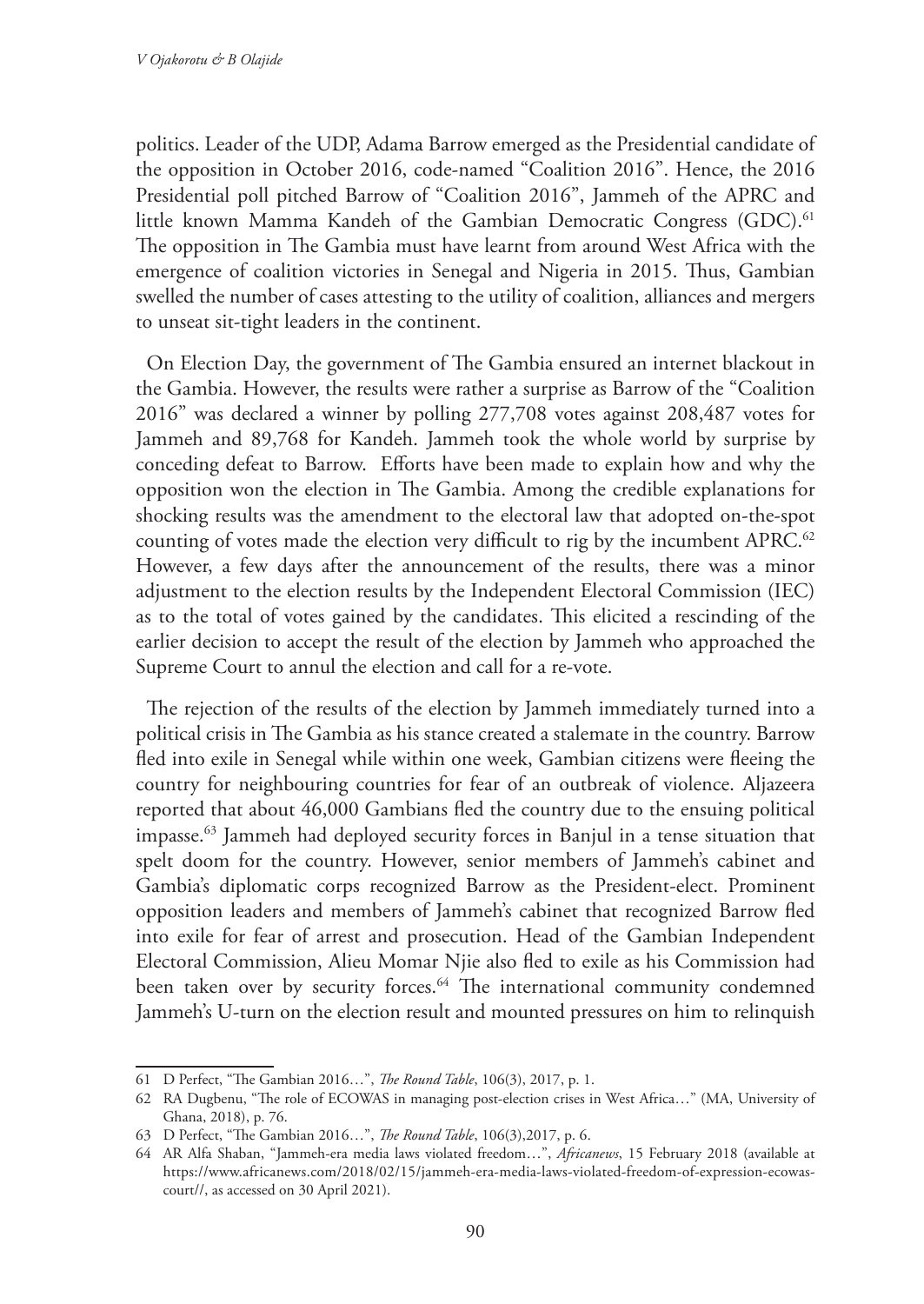politics. Leader of the UDP, Adama Barrow emerged as the Presidential candidate of the opposition in October 2016, code-named "Coalition 2016". Hence, the 2016 Presidential poll pitched Barrow of "Coalition 2016", Jammeh of the APRC and little known Mamma Kandeh of the Gambian Democratic Congress (GDC).<sup>61</sup> The opposition in The Gambia must have learnt from around West Africa with the emergence of coalition victories in Senegal and Nigeria in 2015. Thus, Gambian swelled the number of cases attesting to the utility of coalition, alliances and mergers to unseat sit-tight leaders in the continent.

On Election Day, the government of The Gambia ensured an internet blackout in the Gambia. However, the results were rather a surprise as Barrow of the "Coalition 2016" was declared a winner by polling 277,708 votes against 208,487 votes for Jammeh and 89,768 for Kandeh. Jammeh took the whole world by surprise by conceding defeat to Barrow. Efforts have been made to explain how and why the opposition won the election in The Gambia. Among the credible explanations for shocking results was the amendment to the electoral law that adopted on-the-spot counting of votes made the election very difficult to rig by the incumbent APRC.<sup>62</sup> However, a few days after the announcement of the results, there was a minor adjustment to the election results by the Independent Electoral Commission (IEC) as to the total of votes gained by the candidates. This elicited a rescinding of the earlier decision to accept the result of the election by Jammeh who approached the Supreme Court to annul the election and call for a re-vote.

The rejection of the results of the election by Jammeh immediately turned into a political crisis in The Gambia as his stance created a stalemate in the country. Barrow fled into exile in Senegal while within one week, Gambian citizens were fleeing the country for neighbouring countries for fear of an outbreak of violence. Aljazeera reported that about 46,000 Gambians fled the country due to the ensuing political impasse.63 Jammeh had deployed security forces in Banjul in a tense situation that spelt doom for the country. However, senior members of Jammeh's cabinet and Gambia's diplomatic corps recognized Barrow as the President-elect. Prominent opposition leaders and members of Jammeh's cabinet that recognized Barrow fled into exile for fear of arrest and prosecution. Head of the Gambian Independent Electoral Commission, Alieu Momar Njie also fled to exile as his Commission had been taken over by security forces.<sup>64</sup> The international community condemned Jammeh's U-turn on the election result and mounted pressures on him to relinquish

<sup>61</sup> D Perfect, "The Gambian 2016…", *The Round Table*, 106(3), 2017, p. 1.

<sup>62</sup> RA Dugbenu, "The role of ECOWAS in managing post-election crises in West Africa…" (MA, University of Ghana, 2018), p. 76.

<sup>63</sup> D Perfect, "The Gambian 2016…", *The Round Table*, 106(3),2017, p. 6.

<sup>64</sup> AR Alfa Shaban, "Jammeh-era media laws violated freedom…", *Africanews*, 15 February 2018 (available at https://www.africanews.com/2018/02/15/jammeh-era-media-laws-violated-freedom-of-expression-ecowascourt//, as accessed on 30 April 2021).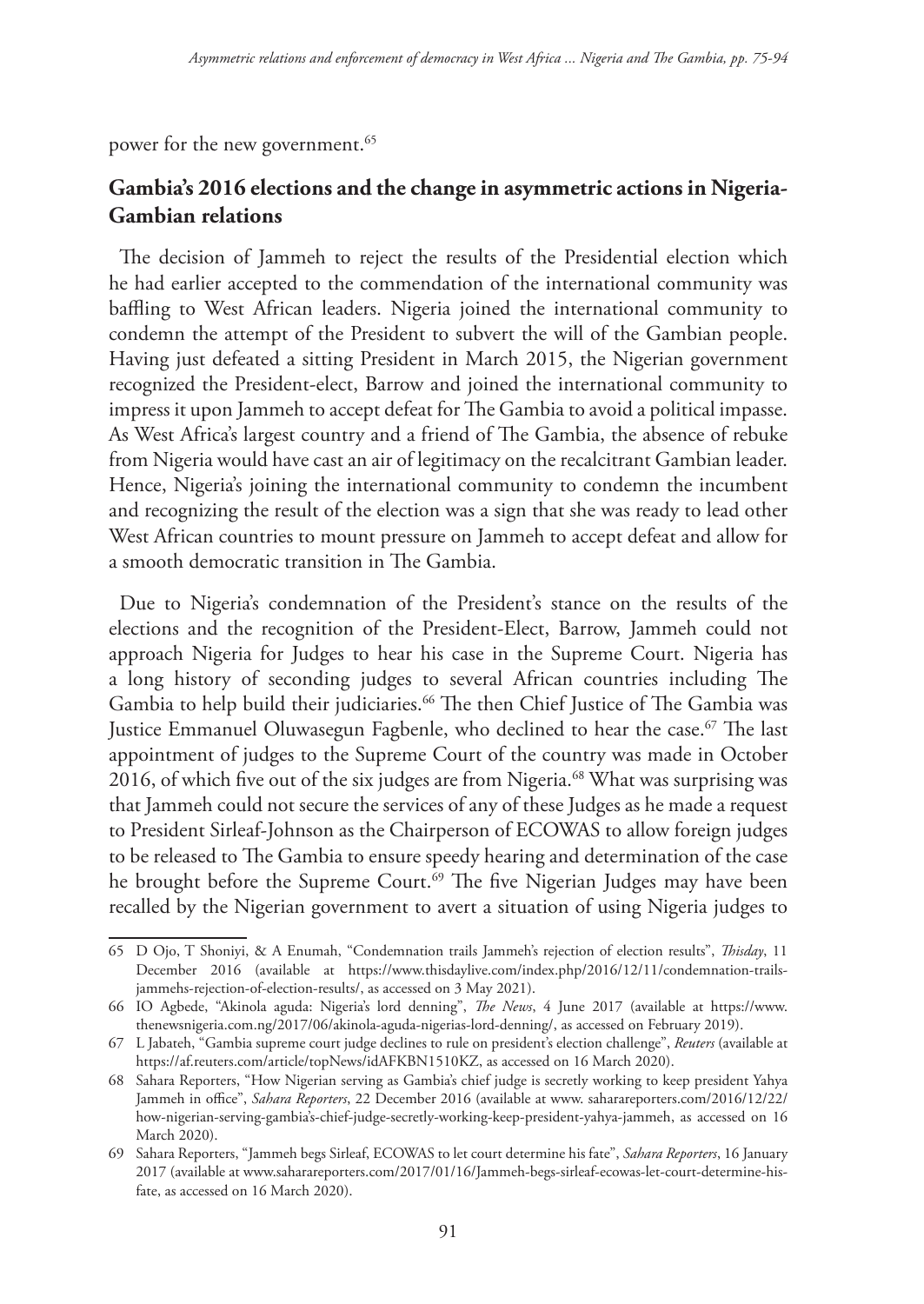power for the new government.<sup>65</sup>

# **Gambia's 2016 elections and the change in asymmetric actions in Nigeria-Gambian relations**

The decision of Jammeh to reject the results of the Presidential election which he had earlier accepted to the commendation of the international community was baffling to West African leaders. Nigeria joined the international community to condemn the attempt of the President to subvert the will of the Gambian people. Having just defeated a sitting President in March 2015, the Nigerian government recognized the President-elect, Barrow and joined the international community to impress it upon Jammeh to accept defeat for The Gambia to avoid a political impasse. As West Africa's largest country and a friend of The Gambia, the absence of rebuke from Nigeria would have cast an air of legitimacy on the recalcitrant Gambian leader. Hence, Nigeria's joining the international community to condemn the incumbent and recognizing the result of the election was a sign that she was ready to lead other West African countries to mount pressure on Jammeh to accept defeat and allow for a smooth democratic transition in The Gambia.

Due to Nigeria's condemnation of the President's stance on the results of the elections and the recognition of the President-Elect, Barrow, Jammeh could not approach Nigeria for Judges to hear his case in the Supreme Court. Nigeria has a long history of seconding judges to several African countries including The Gambia to help build their judiciaries.<sup>66</sup> The then Chief Justice of The Gambia was Justice Emmanuel Oluwasegun Fagbenle, who declined to hear the case.<sup>67</sup> The last appointment of judges to the Supreme Court of the country was made in October 2016, of which five out of the six judges are from Nigeria.<sup>68</sup> What was surprising was that Jammeh could not secure the services of any of these Judges as he made a request to President Sirleaf-Johnson as the Chairperson of ECOWAS to allow foreign judges to be released to The Gambia to ensure speedy hearing and determination of the case he brought before the Supreme Court.<sup>69</sup> The five Nigerian Judges may have been recalled by the Nigerian government to avert a situation of using Nigeria judges to

<sup>65</sup> D Ojo, T Shoniyi, & A Enumah, "Condemnation trails Jammeh's rejection of election results", *Thisday*, 11 December 2016 (available at https://www.thisdaylive.com/index.php/2016/12/11/condemnation-trailsjammehs-rejection-of-election-results/, as accessed on 3 May 2021).

<sup>66</sup> IO Agbede, "Akinola aguda: Nigeria's lord denning", *The News*, 4 June 2017 (available at https://www. thenewsnigeria.com.ng/2017/06/akinola-aguda-nigerias-lord-denning/, as accessed on February 2019).

<sup>67</sup> L Jabateh, "Gambia supreme court judge declines to rule on president's election challenge", *Reuters* (available at https://af.reuters.com/article/topNews/idAFKBN1510KZ, as accessed on 16 March 2020).

<sup>68</sup> Sahara Reporters, "How Nigerian serving as Gambia's chief judge is secretly working to keep president Yahya Jammeh in office", *Sahara Reporters*, 22 December 2016 (available at www. saharareporters.com/2016/12/22/ how-nigerian-serving-gambia's-chief-judge-secretly-working-keep-president-yahya-jammeh, as accessed on 16 March 2020).

<sup>69</sup> Sahara Reporters, "Jammeh begs Sirleaf, ECOWAS to let court determine his fate", *Sahara Reporters*, 16 January 2017 (available at www.saharareporters.com/2017/01/16/Jammeh-begs-sirleaf-ecowas-let-court-determine-hisfate, as accessed on 16 March 2020).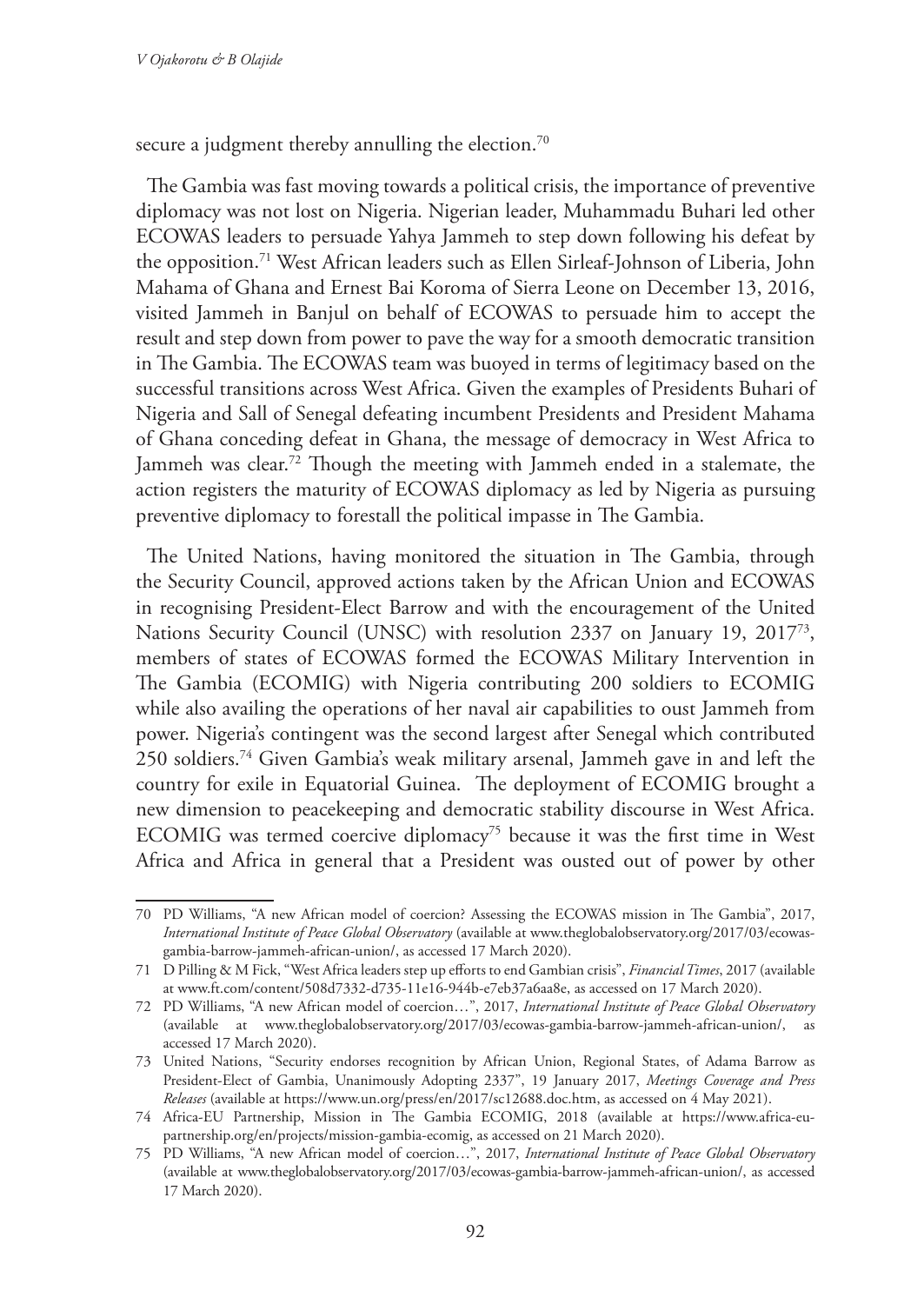secure a judgment thereby annulling the election.<sup>70</sup>

The Gambia was fast moving towards a political crisis, the importance of preventive diplomacy was not lost on Nigeria. Nigerian leader, Muhammadu Buhari led other ECOWAS leaders to persuade Yahya Jammeh to step down following his defeat by the opposition.71 West African leaders such as Ellen Sirleaf-Johnson of Liberia, John Mahama of Ghana and Ernest Bai Koroma of Sierra Leone on December 13, 2016, visited Jammeh in Banjul on behalf of ECOWAS to persuade him to accept the result and step down from power to pave the way for a smooth democratic transition in The Gambia. The ECOWAS team was buoyed in terms of legitimacy based on the successful transitions across West Africa. Given the examples of Presidents Buhari of Nigeria and Sall of Senegal defeating incumbent Presidents and President Mahama of Ghana conceding defeat in Ghana, the message of democracy in West Africa to Jammeh was clear.<sup>72</sup> Though the meeting with Jammeh ended in a stalemate, the action registers the maturity of ECOWAS diplomacy as led by Nigeria as pursuing preventive diplomacy to forestall the political impasse in The Gambia.

The United Nations, having monitored the situation in The Gambia, through the Security Council, approved actions taken by the African Union and ECOWAS in recognising President-Elect Barrow and with the encouragement of the United Nations Security Council (UNSC) with resolution 2337 on January 19, 201773, members of states of ECOWAS formed the ECOWAS Military Intervention in The Gambia (ECOMIG) with Nigeria contributing 200 soldiers to ECOMIG while also availing the operations of her naval air capabilities to oust Jammeh from power. Nigeria's contingent was the second largest after Senegal which contributed 250 soldiers.74 Given Gambia's weak military arsenal, Jammeh gave in and left the country for exile in Equatorial Guinea. The deployment of ECOMIG brought a new dimension to peacekeeping and democratic stability discourse in West Africa. ECOMIG was termed coercive diplomacy<sup>75</sup> because it was the first time in West Africa and Africa in general that a President was ousted out of power by other

<sup>70</sup> PD Williams, "A new African model of coercion? Assessing the ECOWAS mission in The Gambia", 2017, *International Institute of Peace Global Observatory* (available at www.theglobalobservatory.org/2017/03/ecowasgambia-barrow-jammeh-african-union/, as accessed 17 March 2020).

<sup>71</sup> D Pilling & M Fick, "West Africa leaders step up efforts to end Gambian crisis", *Financial Times*, 2017 (available at www.ft.com/content/508d7332-d735-11e16-944b-e7eb37a6aa8e, as accessed on 17 March 2020).

<sup>72</sup> PD Williams, "A new African model of coercion…", 2017, *International Institute of Peace Global Observatory* (available at www.theglobalobservatory.org/2017/03/ecowas-gambia-barrow-jammeh-african-union/, as accessed 17 March 2020).

<sup>73</sup> United Nations, "Security endorses recognition by African Union, Regional States, of Adama Barrow as President-Elect of Gambia, Unanimously Adopting 2337", 19 January 2017, *Meetings Coverage and Press Releases* (available at https://www.un.org/press/en/2017/sc12688.doc.htm, as accessed on 4 May 2021).

<sup>74</sup> Africa-EU Partnership, Mission in The Gambia ECOMIG, 2018 (available at https://www.africa-eupartnership.org/en/projects/mission-gambia-ecomig, as accessed on 21 March 2020).

<sup>75</sup> PD Williams, "A new African model of coercion…", 2017, *International Institute of Peace Global Observatory* (available at www.theglobalobservatory.org/2017/03/ecowas-gambia-barrow-jammeh-african-union/, as accessed 17 March 2020).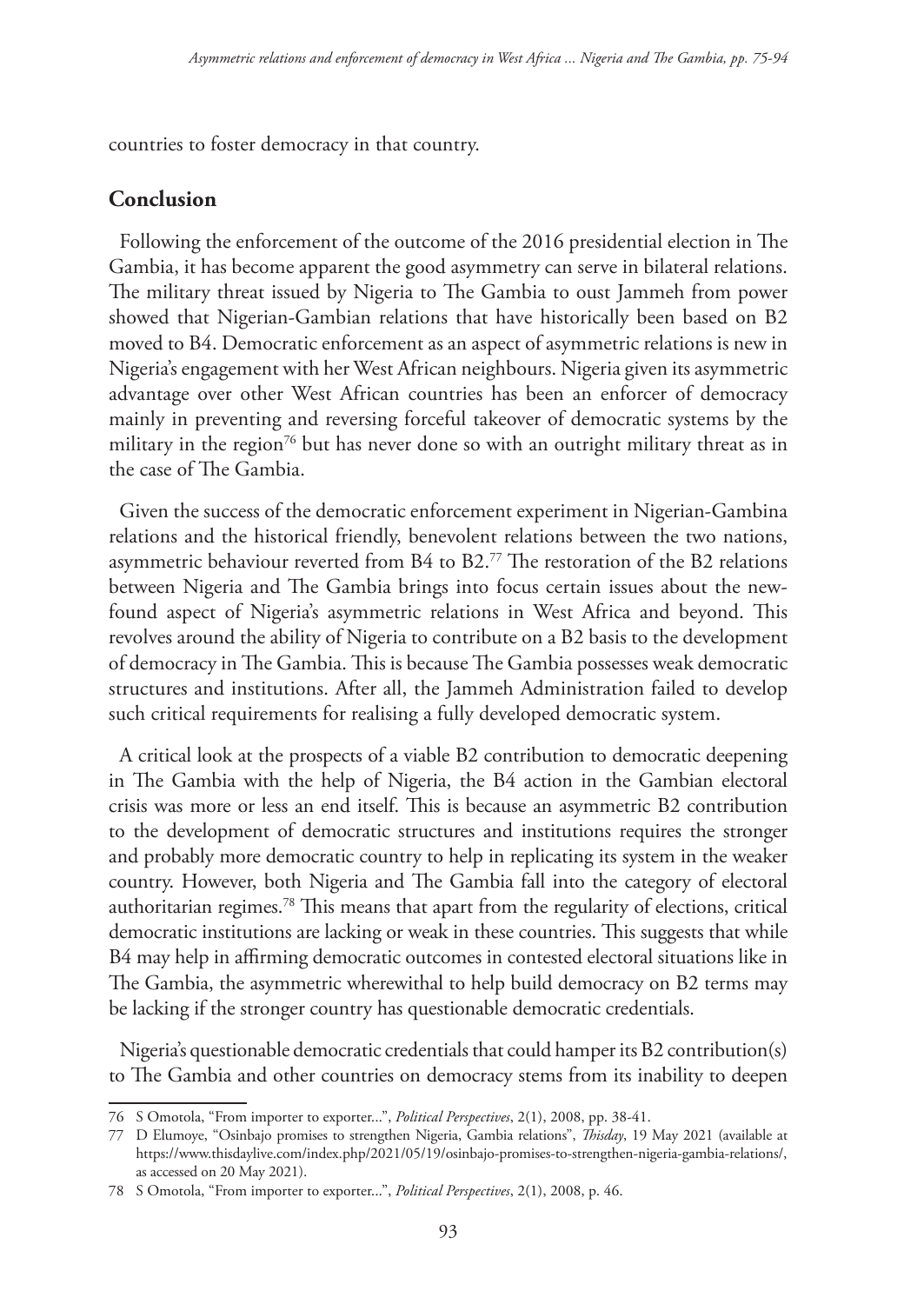countries to foster democracy in that country.

#### **Conclusion**

Following the enforcement of the outcome of the 2016 presidential election in The Gambia, it has become apparent the good asymmetry can serve in bilateral relations. The military threat issued by Nigeria to The Gambia to oust Jammeh from power showed that Nigerian-Gambian relations that have historically been based on B2 moved to B4. Democratic enforcement as an aspect of asymmetric relations is new in Nigeria's engagement with her West African neighbours. Nigeria given its asymmetric advantage over other West African countries has been an enforcer of democracy mainly in preventing and reversing forceful takeover of democratic systems by the military in the region<sup>76</sup> but has never done so with an outright military threat as in the case of The Gambia.

Given the success of the democratic enforcement experiment in Nigerian-Gambina relations and the historical friendly, benevolent relations between the two nations, asymmetric behaviour reverted from B4 to B2.77 The restoration of the B2 relations between Nigeria and The Gambia brings into focus certain issues about the newfound aspect of Nigeria's asymmetric relations in West Africa and beyond. This revolves around the ability of Nigeria to contribute on a B2 basis to the development of democracy in The Gambia. This is because The Gambia possesses weak democratic structures and institutions. After all, the Jammeh Administration failed to develop such critical requirements for realising a fully developed democratic system.

A critical look at the prospects of a viable B2 contribution to democratic deepening in The Gambia with the help of Nigeria, the B4 action in the Gambian electoral crisis was more or less an end itself. This is because an asymmetric B2 contribution to the development of democratic structures and institutions requires the stronger and probably more democratic country to help in replicating its system in the weaker country. However, both Nigeria and The Gambia fall into the category of electoral authoritarian regimes.78 This means that apart from the regularity of elections, critical democratic institutions are lacking or weak in these countries. This suggests that while B4 may help in affirming democratic outcomes in contested electoral situations like in The Gambia, the asymmetric wherewithal to help build democracy on B2 terms may be lacking if the stronger country has questionable democratic credentials.

Nigeria's questionable democratic credentials that could hamper its B2 contribution(s) to The Gambia and other countries on democracy stems from its inability to deepen

<sup>76</sup> S Omotola, "From importer to exporter...", *Political Perspectives*, 2(1), 2008, pp. 38-41.

<sup>77</sup> D Elumoye, "Osinbajo promises to strengthen Nigeria, Gambia relations", *Thisday*, 19 May 2021 (available at https://www.thisdaylive.com/index.php/2021/05/19/osinbajo-promises-to-strengthen-nigeria-gambia-relations/, as accessed on 20 May 2021).

<sup>78</sup> S Omotola, "From importer to exporter...", *Political Perspectives*, 2(1), 2008, p. 46.